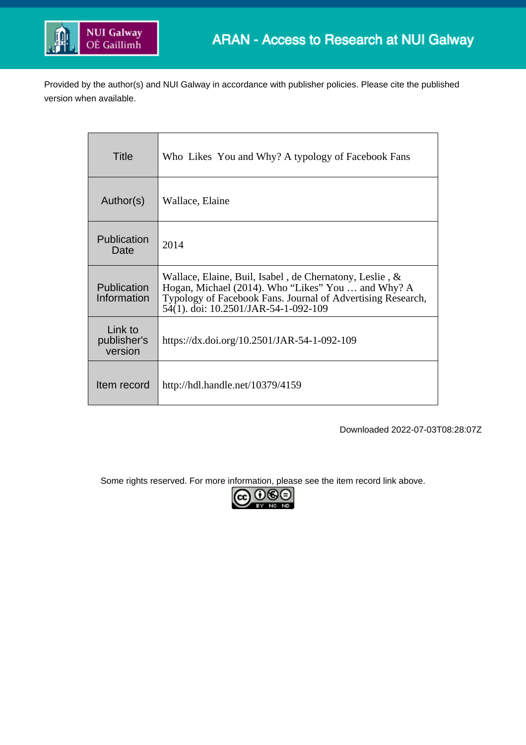

Provided by the author(s) and NUI Galway in accordance with publisher policies. Please cite the published version when available.

| Title                             | Who Likes You and Why? A typology of Facebook Fans                                                                                                                                                                   |
|-----------------------------------|----------------------------------------------------------------------------------------------------------------------------------------------------------------------------------------------------------------------|
| Author(s)                         | Wallace, Elaine                                                                                                                                                                                                      |
| Publication<br>Date               | 2014                                                                                                                                                                                                                 |
| Publication<br>Information        | Wallace, Elaine, Buil, Isabel, de Chernatony, Leslie, &<br>Hogan, Michael (2014). Who "Likes" You  and Why? A<br>Typology of Facebook Fans. Journal of Advertising Research,<br>54(1). doi: 10.2501/JAR-54-1-092-109 |
| Link to<br>publisher's<br>version | https://dx.doi.org/10.2501/JAR-54-1-092-109                                                                                                                                                                          |
| Item record                       | http://hdl.handle.net/10379/4159                                                                                                                                                                                     |

Downloaded 2022-07-03T08:28:07Z

Some rights reserved. For more information, please see the item record link above.

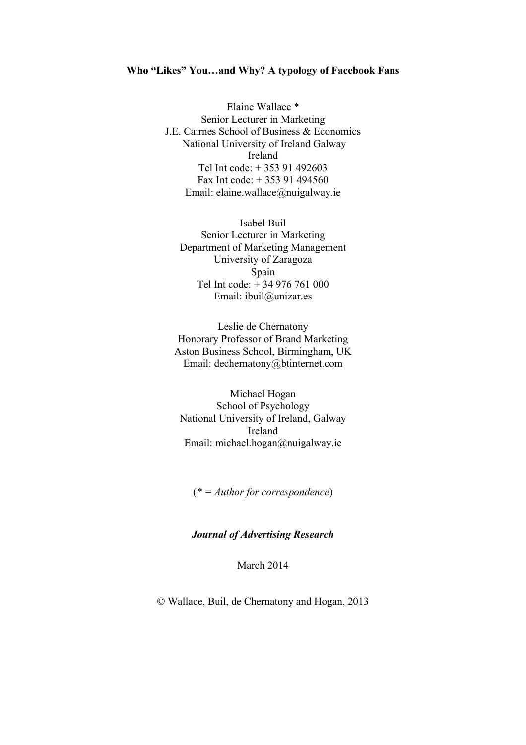## **Who "Likes" You…and Why? A typology of Facebook Fans**

Elaine Wallace \* Senior Lecturer in Marketing J.E. Cairnes School of Business & Economics National University of Ireland Galway Ireland Tel Int code: + 353 91 492603 Fax Int code: + 353 91 494560 Email: elaine.wallace@nuigalway.ie

Isabel Buil Senior Lecturer in Marketing Department of Marketing Management University of Zaragoza Spain Tel Int code: + 34 976 761 000 Email: ibuil@unizar.es

Leslie de Chernatony Honorary Professor of Brand Marketing Aston Business School, Birmingham, UK Email: dechernatony@btinternet.com

Michael Hogan School of Psychology National University of Ireland, Galway Ireland Email: michael.hogan@nuigalway.ie

(*\* = Author for correspondence*)

### *Journal of Advertising Research*

March 2014

© Wallace, Buil, de Chernatony and Hogan, 2013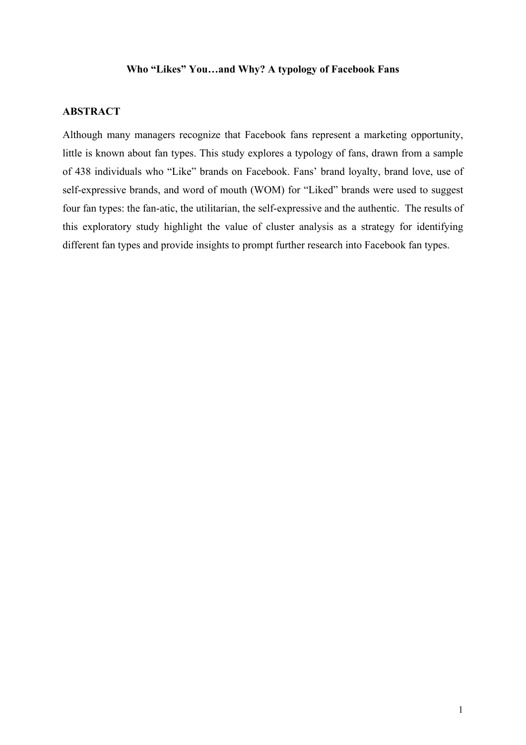## **Who "Likes" You…and Why? A typology of Facebook Fans**

## **ABSTRACT**

Although many managers recognize that Facebook fans represent a marketing opportunity, little is known about fan types. This study explores a typology of fans, drawn from a sample of 438 individuals who "Like" brands on Facebook. Fans' brand loyalty, brand love, use of self-expressive brands, and word of mouth (WOM) for "Liked" brands were used to suggest four fan types: the fan-atic, the utilitarian, the self-expressive and the authentic. The results of this exploratory study highlight the value of cluster analysis as a strategy for identifying different fan types and provide insights to prompt further research into Facebook fan types.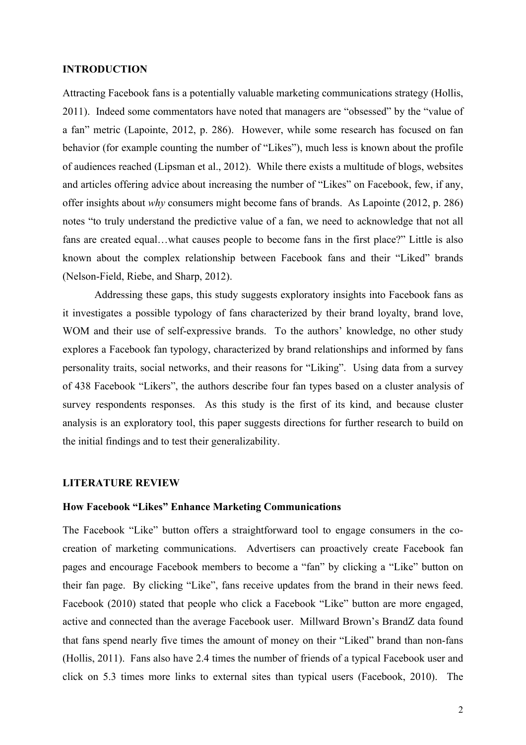### **INTRODUCTION**

Attracting Facebook fans is a potentially valuable marketing communications strategy (Hollis, 2011). Indeed some commentators have noted that managers are "obsessed" by the "value of a fan" metric (Lapointe, 2012, p. 286). However, while some research has focused on fan behavior (for example counting the number of "Likes"), much less is known about the profile of audiences reached (Lipsman et al., 2012). While there exists a multitude of blogs, websites and articles offering advice about increasing the number of "Likes" on Facebook, few, if any, offer insights about *why* consumers might become fans of brands. As Lapointe (2012, p. 286) notes "to truly understand the predictive value of a fan, we need to acknowledge that not all fans are created equal…what causes people to become fans in the first place?" Little is also known about the complex relationship between Facebook fans and their "Liked" brands (Nelson-Field, Riebe, and Sharp, 2012).

Addressing these gaps, this study suggests exploratory insights into Facebook fans as it investigates a possible typology of fans characterized by their brand loyalty, brand love, WOM and their use of self-expressive brands. To the authors' knowledge, no other study explores a Facebook fan typology, characterized by brand relationships and informed by fans personality traits, social networks, and their reasons for "Liking". Using data from a survey of 438 Facebook "Likers", the authors describe four fan types based on a cluster analysis of survey respondents responses. As this study is the first of its kind, and because cluster analysis is an exploratory tool, this paper suggests directions for further research to build on the initial findings and to test their generalizability.

## **LITERATURE REVIEW**

## **How Facebook "Likes" Enhance Marketing Communications**

The Facebook "Like" button offers a straightforward tool to engage consumers in the cocreation of marketing communications. Advertisers can proactively create Facebook fan pages and encourage Facebook members to become a "fan" by clicking a "Like" button on their fan page. By clicking "Like", fans receive updates from the brand in their news feed. Facebook (2010) stated that people who click a Facebook "Like" button are more engaged, active and connected than the average Facebook user. Millward Brown's BrandZ data found that fans spend nearly five times the amount of money on their "Liked" brand than non-fans (Hollis, 2011). Fans also have 2.4 times the number of friends of a typical Facebook user and click on 5.3 times more links to external sites than typical users (Facebook, 2010). The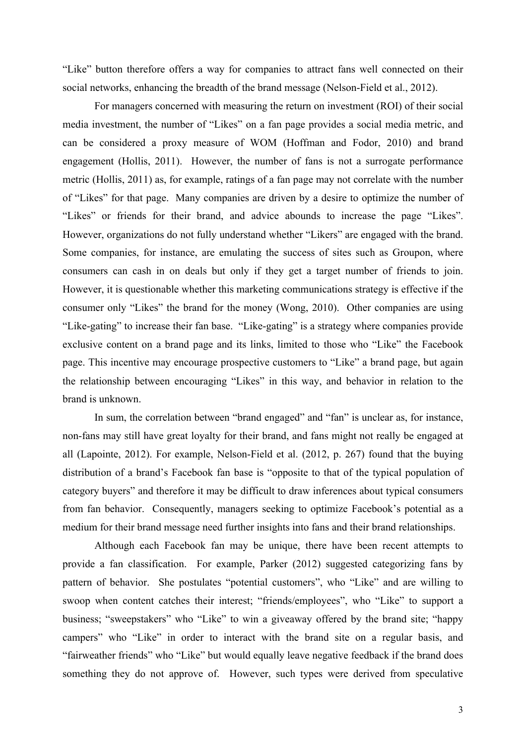"Like" button therefore offers a way for companies to attract fans well connected on their social networks, enhancing the breadth of the brand message (Nelson-Field et al., 2012).

For managers concerned with measuring the return on investment (ROI) of their social media investment, the number of "Likes" on a fan page provides a social media metric, and can be considered a proxy measure of WOM (Hoffman and Fodor, 2010) and brand engagement (Hollis, 2011). However, the number of fans is not a surrogate performance metric (Hollis, 2011) as, for example, ratings of a fan page may not correlate with the number of "Likes" for that page. Many companies are driven by a desire to optimize the number of "Likes" or friends for their brand, and advice abounds to increase the page "Likes". However, organizations do not fully understand whether "Likers" are engaged with the brand. Some companies, for instance, are emulating the success of sites such as Groupon, where consumers can cash in on deals but only if they get a target number of friends to join. However, it is questionable whether this marketing communications strategy is effective if the consumer only "Likes" the brand for the money (Wong, 2010). Other companies are using "Like-gating" to increase their fan base. "Like-gating" is a strategy where companies provide exclusive content on a brand page and its links, limited to those who "Like" the Facebook page. This incentive may encourage prospective customers to "Like" a brand page, but again the relationship between encouraging "Likes" in this way, and behavior in relation to the brand is unknown.

In sum, the correlation between "brand engaged" and "fan" is unclear as, for instance, non-fans may still have great loyalty for their brand, and fans might not really be engaged at all (Lapointe, 2012). For example, Nelson-Field et al. (2012, p. 267) found that the buying distribution of a brand's Facebook fan base is "opposite to that of the typical population of category buyers" and therefore it may be difficult to draw inferences about typical consumers from fan behavior. Consequently, managers seeking to optimize Facebook's potential as a medium for their brand message need further insights into fans and their brand relationships.

Although each Facebook fan may be unique, there have been recent attempts to provide a fan classification. For example, Parker (2012) suggested categorizing fans by pattern of behavior. She postulates "potential customers", who "Like" and are willing to swoop when content catches their interest; "friends/employees", who "Like" to support a business; "sweepstakers" who "Like" to win a giveaway offered by the brand site; "happy campers" who "Like" in order to interact with the brand site on a regular basis, and "fairweather friends" who "Like" but would equally leave negative feedback if the brand does something they do not approve of. However, such types were derived from speculative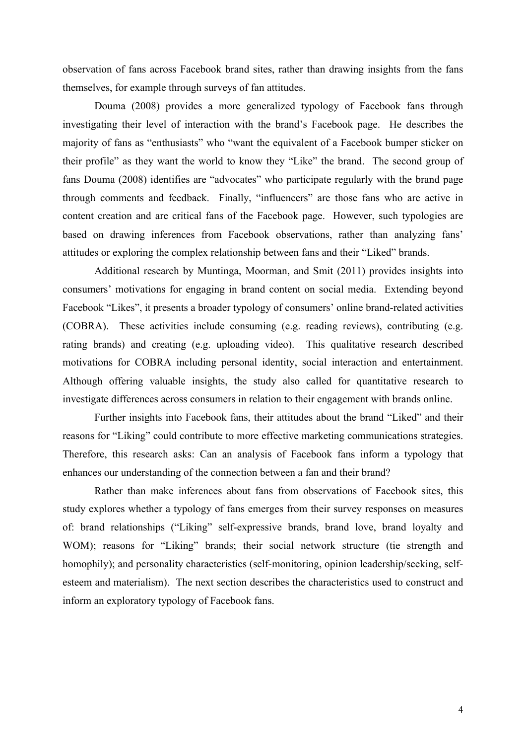observation of fans across Facebook brand sites, rather than drawing insights from the fans themselves, for example through surveys of fan attitudes.

Douma (2008) provides a more generalized typology of Facebook fans through investigating their level of interaction with the brand's Facebook page. He describes the majority of fans as "enthusiasts" who "want the equivalent of a Facebook bumper sticker on their profile" as they want the world to know they "Like" the brand. The second group of fans Douma (2008) identifies are "advocates" who participate regularly with the brand page through comments and feedback. Finally, "influencers" are those fans who are active in content creation and are critical fans of the Facebook page. However, such typologies are based on drawing inferences from Facebook observations, rather than analyzing fans' attitudes or exploring the complex relationship between fans and their "Liked" brands.

Additional research by Muntinga, Moorman, and Smit (2011) provides insights into consumers' motivations for engaging in brand content on social media. Extending beyond Facebook "Likes", it presents a broader typology of consumers' online brand-related activities (COBRA). These activities include consuming (e.g. reading reviews), contributing (e.g. rating brands) and creating (e.g. uploading video). This qualitative research described motivations for COBRA including personal identity, social interaction and entertainment. Although offering valuable insights, the study also called for quantitative research to investigate differences across consumers in relation to their engagement with brands online.

Further insights into Facebook fans, their attitudes about the brand "Liked" and their reasons for "Liking" could contribute to more effective marketing communications strategies. Therefore, this research asks: Can an analysis of Facebook fans inform a typology that enhances our understanding of the connection between a fan and their brand?

Rather than make inferences about fans from observations of Facebook sites, this study explores whether a typology of fans emerges from their survey responses on measures of: brand relationships ("Liking" self-expressive brands, brand love, brand loyalty and WOM); reasons for "Liking" brands; their social network structure (tie strength and homophily); and personality characteristics (self-monitoring, opinion leadership/seeking, selfesteem and materialism). The next section describes the characteristics used to construct and inform an exploratory typology of Facebook fans.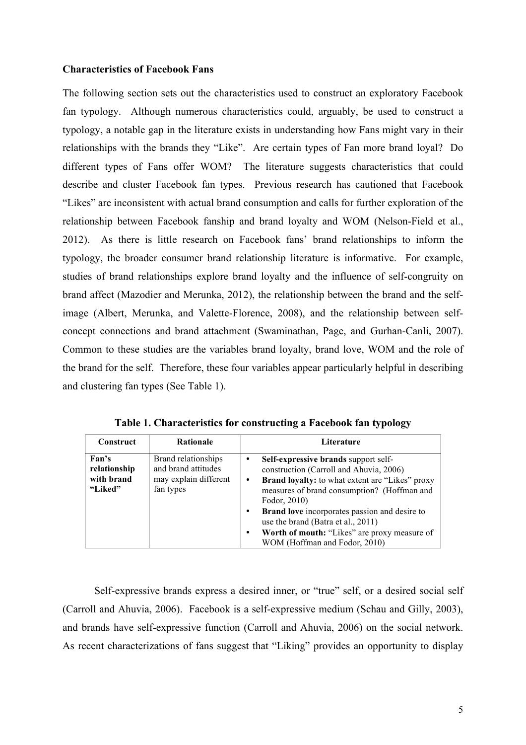## **Characteristics of Facebook Fans**

The following section sets out the characteristics used to construct an exploratory Facebook fan typology. Although numerous characteristics could, arguably, be used to construct a typology, a notable gap in the literature exists in understanding how Fans might vary in their relationships with the brands they "Like". Are certain types of Fan more brand loyal? Do different types of Fans offer WOM? The literature suggests characteristics that could describe and cluster Facebook fan types. Previous research has cautioned that Facebook "Likes" are inconsistent with actual brand consumption and calls for further exploration of the relationship between Facebook fanship and brand loyalty and WOM (Nelson-Field et al., 2012). As there is little research on Facebook fans' brand relationships to inform the typology, the broader consumer brand relationship literature is informative. For example, studies of brand relationships explore brand loyalty and the influence of self-congruity on brand affect (Mazodier and Merunka, 2012), the relationship between the brand and the selfimage (Albert, Merunka, and Valette-Florence, 2008), and the relationship between selfconcept connections and brand attachment (Swaminathan, Page, and Gurhan-Canli, 2007). Common to these studies are the variables brand loyalty, brand love, WOM and the role of the brand for the self. Therefore, these four variables appear particularly helpful in describing and clustering fan types (See Table 1).

| Construct                                      | <b>Rationale</b>                                                                 | Literature                                                                                                                                                                                                    |
|------------------------------------------------|----------------------------------------------------------------------------------|---------------------------------------------------------------------------------------------------------------------------------------------------------------------------------------------------------------|
| Fan's<br>relationship<br>with brand<br>"Liked" | Brand relationships<br>and brand attitudes<br>may explain different<br>fan types | Self-expressive brands support self-<br>construction (Carroll and Ahuvia, 2006)<br><b>Brand loyalty:</b> to what extent are "Likes" proxy<br>٠<br>measures of brand consumption? (Hoffman and<br>Fodor, 2010) |
|                                                |                                                                                  | <b>Brand love</b> incorporates passion and desire to<br>$\bullet$<br>use the brand (Batra et al., 2011)<br>Worth of mouth: "Likes" are proxy measure of<br>٠<br>WOM (Hoffman and Fodor, 2010)                 |

**Table 1. Characteristics for constructing a Facebook fan typology**

Self-expressive brands express a desired inner, or "true" self, or a desired social self (Carroll and Ahuvia, 2006). Facebook is a self-expressive medium (Schau and Gilly, 2003), and brands have self-expressive function (Carroll and Ahuvia, 2006) on the social network. As recent characterizations of fans suggest that "Liking" provides an opportunity to display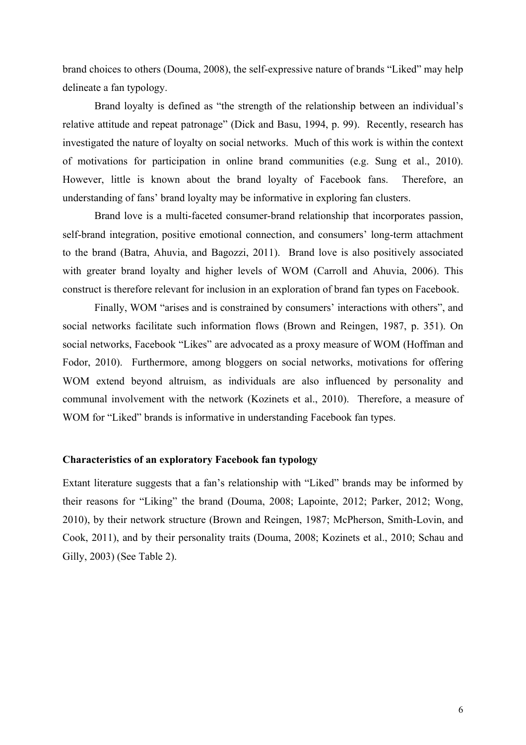brand choices to others (Douma, 2008), the self-expressive nature of brands "Liked" may help delineate a fan typology.

Brand loyalty is defined as "the strength of the relationship between an individual's relative attitude and repeat patronage" (Dick and Basu, 1994, p. 99). Recently, research has investigated the nature of loyalty on social networks. Much of this work is within the context of motivations for participation in online brand communities (e.g. Sung et al., 2010). However, little is known about the brand loyalty of Facebook fans. Therefore, an understanding of fans' brand loyalty may be informative in exploring fan clusters.

Brand love is a multi-faceted consumer-brand relationship that incorporates passion, self-brand integration, positive emotional connection, and consumers' long-term attachment to the brand (Batra, Ahuvia, and Bagozzi, 2011). Brand love is also positively associated with greater brand loyalty and higher levels of WOM (Carroll and Ahuvia, 2006). This construct is therefore relevant for inclusion in an exploration of brand fan types on Facebook.

Finally, WOM "arises and is constrained by consumers' interactions with others", and social networks facilitate such information flows (Brown and Reingen, 1987, p. 351). On social networks, Facebook "Likes" are advocated as a proxy measure of WOM (Hoffman and Fodor, 2010). Furthermore, among bloggers on social networks, motivations for offering WOM extend beyond altruism, as individuals are also influenced by personality and communal involvement with the network (Kozinets et al., 2010). Therefore, a measure of WOM for "Liked" brands is informative in understanding Facebook fan types.

## **Characteristics of an exploratory Facebook fan typology**

Extant literature suggests that a fan's relationship with "Liked" brands may be informed by their reasons for "Liking" the brand (Douma, 2008; Lapointe, 2012; Parker, 2012; Wong, 2010), by their network structure (Brown and Reingen, 1987; McPherson, Smith-Lovin, and Cook, 2011), and by their personality traits (Douma, 2008; Kozinets et al., 2010; Schau and Gilly, 2003) (See Table 2).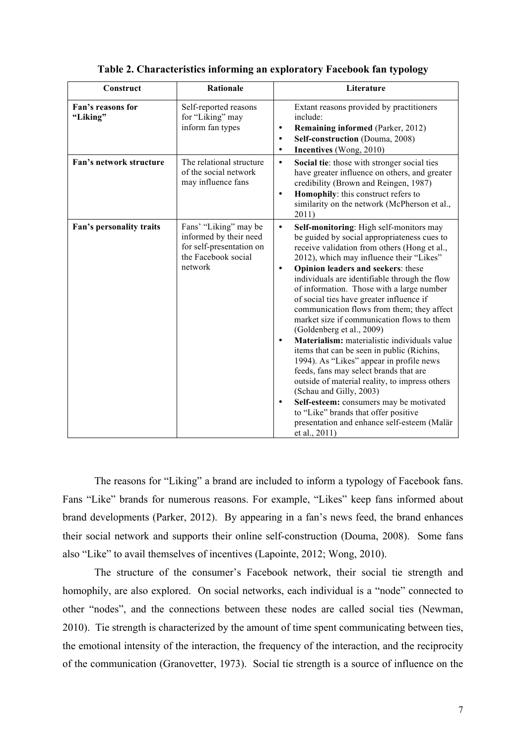| Construct                     | <b>Rationale</b>                                                                                              | Literature                                                                                                                                                                                                                                                                                                                                                                                                                                                                                                                                                                                                                                                                                                                                                                                                                                                                                                                                                          |
|-------------------------------|---------------------------------------------------------------------------------------------------------------|---------------------------------------------------------------------------------------------------------------------------------------------------------------------------------------------------------------------------------------------------------------------------------------------------------------------------------------------------------------------------------------------------------------------------------------------------------------------------------------------------------------------------------------------------------------------------------------------------------------------------------------------------------------------------------------------------------------------------------------------------------------------------------------------------------------------------------------------------------------------------------------------------------------------------------------------------------------------|
| Fan's reasons for<br>"Liking" | Self-reported reasons<br>for "Liking" may<br>inform fan types                                                 | Extant reasons provided by practitioners<br>include:<br><b>Remaining informed (Parker, 2012)</b><br>$\bullet$<br>Self-construction (Douma, 2008)<br>$\bullet$<br>Incentives (Wong, 2010)<br>٠                                                                                                                                                                                                                                                                                                                                                                                                                                                                                                                                                                                                                                                                                                                                                                       |
| Fan's network structure       | The relational structure<br>of the social network<br>may influence fans                                       | Social tie: those with stronger social ties<br>$\bullet$<br>have greater influence on others, and greater<br>credibility (Brown and Reingen, 1987)<br>Homophily: this construct refers to<br>$\bullet$<br>similarity on the network (McPherson et al.,<br>2011)                                                                                                                                                                                                                                                                                                                                                                                                                                                                                                                                                                                                                                                                                                     |
| Fan's personality traits      | Fans' "Liking" may be<br>informed by their need<br>for self-presentation on<br>the Facebook social<br>network | Self-monitoring: High self-monitors may<br>$\bullet$<br>be guided by social appropriateness cues to<br>receive validation from others (Hong et al.,<br>2012), which may influence their "Likes"<br>Opinion leaders and seekers: these<br>$\bullet$<br>individuals are identifiable through the flow<br>of information. Those with a large number<br>of social ties have greater influence if<br>communication flows from them; they affect<br>market size if communication flows to them<br>(Goldenberg et al., 2009)<br>Materialism: materialistic individuals value<br>$\bullet$<br>items that can be seen in public (Richins,<br>1994). As "Likes" appear in profile news<br>feeds, fans may select brands that are<br>outside of material reality, to impress others<br>(Schau and Gilly, 2003)<br>Self-esteem: consumers may be motivated<br>$\bullet$<br>to "Like" brands that offer positive<br>presentation and enhance self-esteem (Malär<br>et al., 2011) |

#### **Table 2. Characteristics informing an exploratory Facebook fan typology**

The reasons for "Liking" a brand are included to inform a typology of Facebook fans. Fans "Like" brands for numerous reasons. For example, "Likes" keep fans informed about brand developments (Parker, 2012). By appearing in a fan's news feed, the brand enhances their social network and supports their online self-construction (Douma, 2008). Some fans also "Like" to avail themselves of incentives (Lapointe, 2012; Wong, 2010).

The structure of the consumer's Facebook network, their social tie strength and homophily, are also explored. On social networks, each individual is a "node" connected to other "nodes", and the connections between these nodes are called social ties (Newman, 2010). Tie strength is characterized by the amount of time spent communicating between ties, the emotional intensity of the interaction, the frequency of the interaction, and the reciprocity of the communication (Granovetter, 1973). Social tie strength is a source of influence on the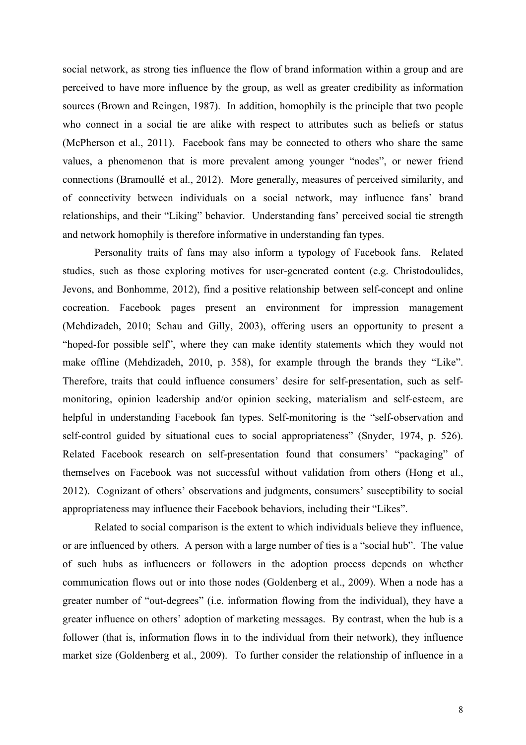social network, as strong ties influence the flow of brand information within a group and are perceived to have more influence by the group, as well as greater credibility as information sources (Brown and Reingen, 1987). In addition, homophily is the principle that two people who connect in a social tie are alike with respect to attributes such as beliefs or status (McPherson et al., 2011). Facebook fans may be connected to others who share the same values, a phenomenon that is more prevalent among younger "nodes", or newer friend connections (Bramoullé et al., 2012). More generally, measures of perceived similarity, and of connectivity between individuals on a social network, may influence fans' brand relationships, and their "Liking" behavior. Understanding fans' perceived social tie strength and network homophily is therefore informative in understanding fan types.

Personality traits of fans may also inform a typology of Facebook fans. Related studies, such as those exploring motives for user-generated content (e.g. Christodoulides, Jevons, and Bonhomme, 2012), find a positive relationship between self-concept and online cocreation. Facebook pages present an environment for impression management (Mehdizadeh, 2010; Schau and Gilly, 2003), offering users an opportunity to present a "hoped-for possible self", where they can make identity statements which they would not make offline (Mehdizadeh, 2010, p. 358), for example through the brands they "Like". Therefore, traits that could influence consumers' desire for self-presentation, such as selfmonitoring, opinion leadership and/or opinion seeking, materialism and self-esteem, are helpful in understanding Facebook fan types. Self-monitoring is the "self-observation and self-control guided by situational cues to social appropriateness" (Snyder, 1974, p. 526). Related Facebook research on self-presentation found that consumers' "packaging" of themselves on Facebook was not successful without validation from others (Hong et al., 2012). Cognizant of others' observations and judgments, consumers' susceptibility to social appropriateness may influence their Facebook behaviors, including their "Likes".

Related to social comparison is the extent to which individuals believe they influence, or are influenced by others. A person with a large number of ties is a "social hub". The value of such hubs as influencers or followers in the adoption process depends on whether communication flows out or into those nodes (Goldenberg et al., 2009). When a node has a greater number of "out-degrees" (i.e. information flowing from the individual), they have a greater influence on others' adoption of marketing messages. By contrast, when the hub is a follower (that is, information flows in to the individual from their network), they influence market size (Goldenberg et al., 2009). To further consider the relationship of influence in a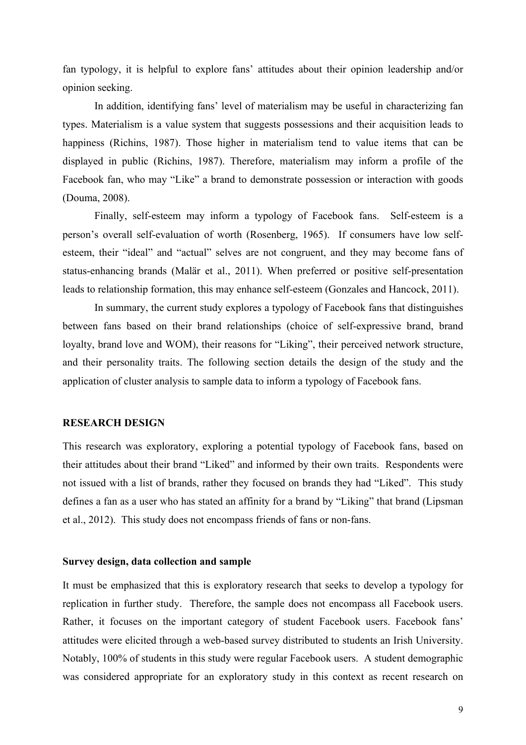fan typology, it is helpful to explore fans' attitudes about their opinion leadership and/or opinion seeking.

In addition, identifying fans' level of materialism may be useful in characterizing fan types. Materialism is a value system that suggests possessions and their acquisition leads to happiness (Richins, 1987). Those higher in materialism tend to value items that can be displayed in public (Richins, 1987). Therefore, materialism may inform a profile of the Facebook fan, who may "Like" a brand to demonstrate possession or interaction with goods (Douma, 2008).

Finally, self-esteem may inform a typology of Facebook fans. Self-esteem is a person's overall self-evaluation of worth (Rosenberg, 1965). If consumers have low selfesteem, their "ideal" and "actual" selves are not congruent, and they may become fans of status-enhancing brands (Malär et al., 2011). When preferred or positive self-presentation leads to relationship formation, this may enhance self-esteem (Gonzales and Hancock, 2011).

In summary, the current study explores a typology of Facebook fans that distinguishes between fans based on their brand relationships (choice of self-expressive brand, brand loyalty, brand love and WOM), their reasons for "Liking", their perceived network structure, and their personality traits. The following section details the design of the study and the application of cluster analysis to sample data to inform a typology of Facebook fans.

## **RESEARCH DESIGN**

This research was exploratory, exploring a potential typology of Facebook fans, based on their attitudes about their brand "Liked" and informed by their own traits. Respondents were not issued with a list of brands, rather they focused on brands they had "Liked". This study defines a fan as a user who has stated an affinity for a brand by "Liking" that brand (Lipsman et al., 2012). This study does not encompass friends of fans or non-fans.

#### **Survey design, data collection and sample**

It must be emphasized that this is exploratory research that seeks to develop a typology for replication in further study. Therefore, the sample does not encompass all Facebook users. Rather, it focuses on the important category of student Facebook users. Facebook fans' attitudes were elicited through a web-based survey distributed to students an Irish University. Notably, 100% of students in this study were regular Facebook users. A student demographic was considered appropriate for an exploratory study in this context as recent research on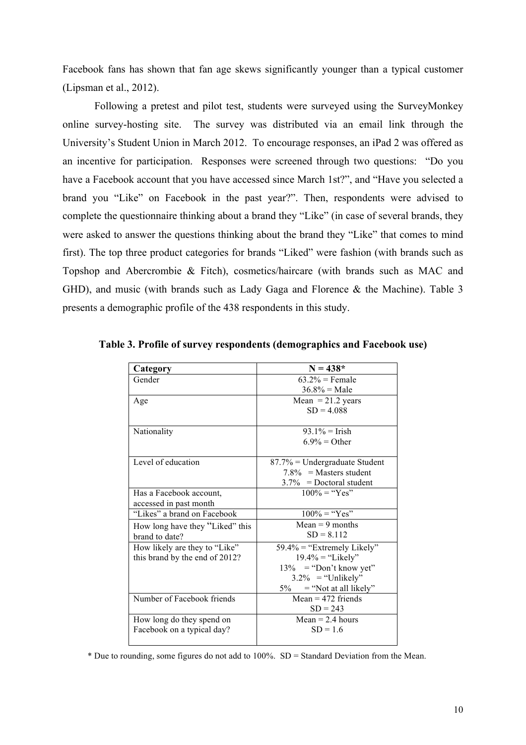Facebook fans has shown that fan age skews significantly younger than a typical customer (Lipsman et al., 2012).

Following a pretest and pilot test, students were surveyed using the SurveyMonkey online survey-hosting site. The survey was distributed via an email link through the University's Student Union in March 2012. To encourage responses, an iPad 2 was offered as an incentive for participation. Responses were screened through two questions: "Do you have a Facebook account that you have accessed since March 1st?", and "Have you selected a brand you "Like" on Facebook in the past year?". Then, respondents were advised to complete the questionnaire thinking about a brand they "Like" (in case of several brands, they were asked to answer the questions thinking about the brand they "Like" that comes to mind first). The top three product categories for brands "Liked" were fashion (with brands such as Topshop and Abercrombie & Fitch), cosmetics/haircare (with brands such as MAC and GHD), and music (with brands such as Lady Gaga and Florence & the Machine). Table 3 presents a demographic profile of the 438 respondents in this study.

| Category                        | $N = 438*$                       |
|---------------------------------|----------------------------------|
| Gender                          | $63.2\%$ = Female                |
|                                 | $36.8\% = \text{Male}$           |
| Age                             | Mean $= 21.2$ years              |
|                                 | $SD = 4.088$                     |
|                                 |                                  |
| Nationality                     | $93.1\% =$ Trish                 |
|                                 | $6.9\% =$ Other                  |
|                                 |                                  |
| Level of education              | $87.7\%$ = Undergraduate Student |
|                                 | $7.8\%$ = Masters student        |
|                                 | $3.7\%$ = Doctoral student       |
| Has a Facebook account,         | $100\% =$ "Yes"                  |
| accessed in past month          |                                  |
| "Likes" a brand on Facebook     | $100\% =$ "Yes"                  |
| How long have they "Liked" this | $Mean = 9$ months                |
| brand to date?                  | $SD = 8.112$                     |
| How likely are they to "Like"   | $59.4\%$ = "Extremely Likely"    |
| this brand by the end of 2012?  | $19.4\% =$ "Likely"              |
|                                 | $13\%$ = "Don't know yet"        |
|                                 | $3.2\%$ = "Unlikely"             |
|                                 | $=$ "Not at all likely"<br>$5\%$ |
| Number of Facebook friends      | Mean = $472$ friends             |
|                                 | $SD = 243$                       |
| How long do they spend on       | Mean $= 2.4$ hours               |
| Facebook on a typical day?      | $SD = 1.6$                       |
|                                 |                                  |

**Table 3. Profile of survey respondents (demographics and Facebook use)**

\* Due to rounding, some figures do not add to 100%. SD = Standard Deviation from the Mean.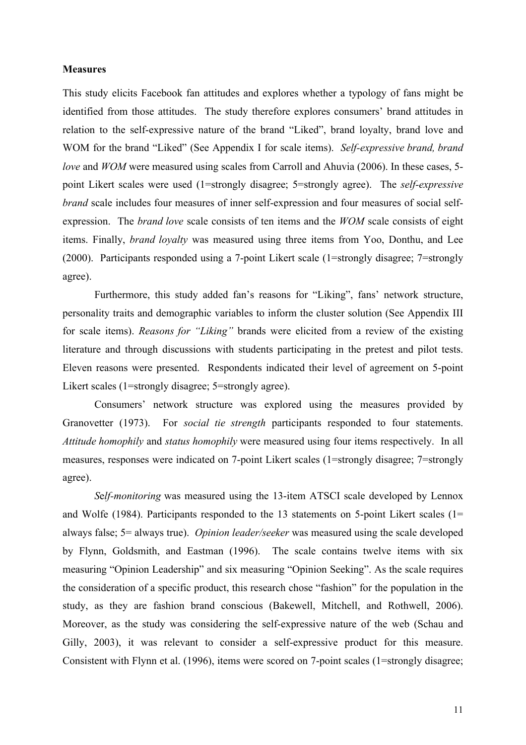#### **Measures**

This study elicits Facebook fan attitudes and explores whether a typology of fans might be identified from those attitudes. The study therefore explores consumers' brand attitudes in relation to the self-expressive nature of the brand "Liked", brand loyalty, brand love and WOM for the brand "Liked" (See Appendix I for scale items). *Self-expressive brand, brand love* and *WOM* were measured using scales from Carroll and Ahuvia (2006). In these cases, 5point Likert scales were used (1=strongly disagree; 5=strongly agree). The *self-expressive brand* scale includes four measures of inner self-expression and four measures of social selfexpression. The *brand love* scale consists of ten items and the *WOM* scale consists of eight items. Finally, *brand loyalty* was measured using three items from Yoo, Donthu, and Lee (2000). Participants responded using a 7-point Likert scale (1=strongly disagree; 7=strongly agree).

Furthermore, this study added fan's reasons for "Liking", fans' network structure, personality traits and demographic variables to inform the cluster solution (See Appendix III for scale items). *Reasons for "Liking"* brands were elicited from a review of the existing literature and through discussions with students participating in the pretest and pilot tests. Eleven reasons were presented. Respondents indicated their level of agreement on 5-point Likert scales (1=strongly disagree; 5=strongly agree).

Consumers' network structure was explored using the measures provided by Granovetter (1973). For *social tie strength* participants responded to four statements. *Attitude homophily* and *status homophily* were measured using four items respectively. In all measures, responses were indicated on 7-point Likert scales (1=strongly disagree; 7=strongly agree).

*S*e*lf-monitoring* was measured using the 13-item ATSCI scale developed by Lennox and Wolfe (1984). Participants responded to the 13 statements on 5-point Likert scales (1= always false; 5= always true). *Opinion leader/seeker* was measured using the scale developed by Flynn, Goldsmith, and Eastman (1996). The scale contains twelve items with six measuring "Opinion Leadership" and six measuring "Opinion Seeking". As the scale requires the consideration of a specific product, this research chose "fashion" for the population in the study, as they are fashion brand conscious (Bakewell, Mitchell, and Rothwell, 2006). Moreover, as the study was considering the self-expressive nature of the web (Schau and Gilly, 2003), it was relevant to consider a self-expressive product for this measure. Consistent with Flynn et al. (1996), items were scored on 7-point scales (1=strongly disagree;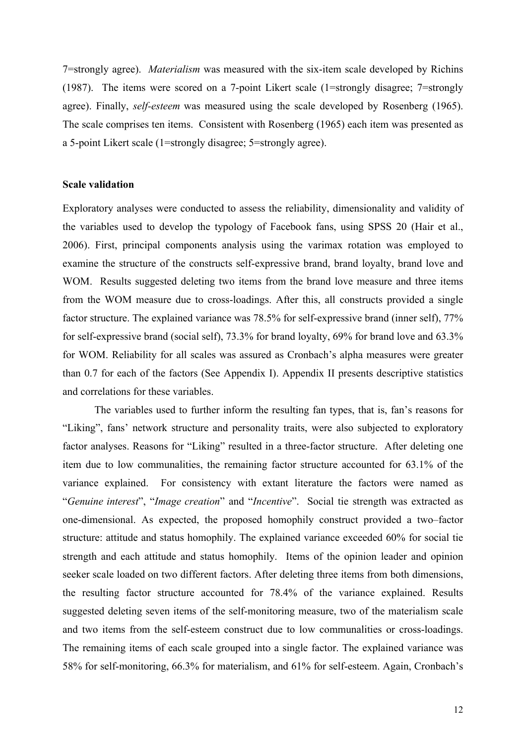7=strongly agree). *Materialism* was measured with the six-item scale developed by Richins (1987). The items were scored on a 7-point Likert scale (1=strongly disagree; 7=strongly agree). Finally, *self-esteem* was measured using the scale developed by Rosenberg (1965). The scale comprises ten items. Consistent with Rosenberg (1965) each item was presented as a 5-point Likert scale (1=strongly disagree; 5=strongly agree).

## **Scale validation**

Exploratory analyses were conducted to assess the reliability, dimensionality and validity of the variables used to develop the typology of Facebook fans, using SPSS 20 (Hair et al., 2006). First, principal components analysis using the varimax rotation was employed to examine the structure of the constructs self-expressive brand, brand loyalty, brand love and WOM. Results suggested deleting two items from the brand love measure and three items from the WOM measure due to cross-loadings. After this, all constructs provided a single factor structure. The explained variance was 78.5% for self-expressive brand (inner self), 77% for self-expressive brand (social self), 73.3% for brand loyalty, 69% for brand love and 63.3% for WOM. Reliability for all scales was assured as Cronbach's alpha measures were greater than 0.7 for each of the factors (See Appendix I). Appendix II presents descriptive statistics and correlations for these variables.

The variables used to further inform the resulting fan types, that is, fan's reasons for "Liking", fans' network structure and personality traits, were also subjected to exploratory factor analyses. Reasons for "Liking" resulted in a three-factor structure. After deleting one item due to low communalities, the remaining factor structure accounted for 63.1% of the variance explained. For consistency with extant literature the factors were named as "*Genuine interest*", "*Image creation*" and "*Incentive*". Social tie strength was extracted as one-dimensional. As expected, the proposed homophily construct provided a two–factor structure: attitude and status homophily. The explained variance exceeded 60% for social tie strength and each attitude and status homophily. Items of the opinion leader and opinion seeker scale loaded on two different factors. After deleting three items from both dimensions, the resulting factor structure accounted for 78.4% of the variance explained. Results suggested deleting seven items of the self-monitoring measure, two of the materialism scale and two items from the self-esteem construct due to low communalities or cross-loadings. The remaining items of each scale grouped into a single factor. The explained variance was 58% for self-monitoring, 66.3% for materialism, and 61% for self-esteem. Again, Cronbach's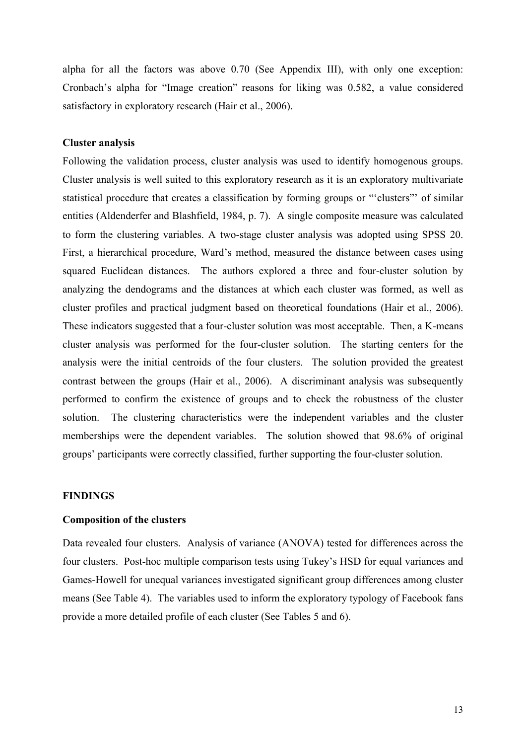alpha for all the factors was above 0.70 (See Appendix III), with only one exception: Cronbach's alpha for "Image creation" reasons for liking was 0.582, a value considered satisfactory in exploratory research (Hair et al., 2006).

## **Cluster analysis**

Following the validation process, cluster analysis was used to identify homogenous groups. Cluster analysis is well suited to this exploratory research as it is an exploratory multivariate statistical procedure that creates a classification by forming groups or "'clusters"' of similar entities (Aldenderfer and Blashfield, 1984, p. 7). A single composite measure was calculated to form the clustering variables. A two-stage cluster analysis was adopted using SPSS 20. First, a hierarchical procedure, Ward's method, measured the distance between cases using squared Euclidean distances. The authors explored a three and four-cluster solution by analyzing the dendograms and the distances at which each cluster was formed, as well as cluster profiles and practical judgment based on theoretical foundations (Hair et al., 2006). These indicators suggested that a four-cluster solution was most acceptable. Then, a K-means cluster analysis was performed for the four-cluster solution. The starting centers for the analysis were the initial centroids of the four clusters. The solution provided the greatest contrast between the groups (Hair et al., 2006). A discriminant analysis was subsequently performed to confirm the existence of groups and to check the robustness of the cluster solution. The clustering characteristics were the independent variables and the cluster memberships were the dependent variables. The solution showed that 98.6% of original groups' participants were correctly classified, further supporting the four-cluster solution.

#### **FINDINGS**

#### **Composition of the clusters**

Data revealed four clusters. Analysis of variance (ANOVA) tested for differences across the four clusters. Post-hoc multiple comparison tests using Tukey's HSD for equal variances and Games-Howell for unequal variances investigated significant group differences among cluster means (See Table 4). The variables used to inform the exploratory typology of Facebook fans provide a more detailed profile of each cluster (See Tables 5 and 6).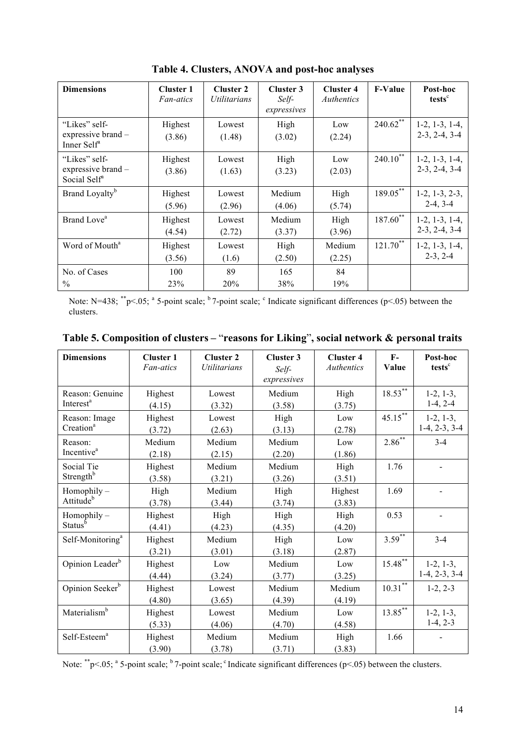| <b>Dimensions</b>                                                | <b>Cluster 1</b><br><i>Fan-atics</i> | <b>Cluster 2</b><br>Utilitarians | <b>Cluster 3</b><br>Self-<br>expressives | <b>Cluster 4</b><br>Authentics | <b>F-Value</b> | Post-hoc<br>tests <sup>c</sup>      |
|------------------------------------------------------------------|--------------------------------------|----------------------------------|------------------------------------------|--------------------------------|----------------|-------------------------------------|
| "Likes" self-<br>expressive brand $-$<br>Inner Self <sup>a</sup> | Highest<br>(3.86)                    | Lowest<br>(1.48)                 | High<br>(3.02)                           | Low<br>(2.24)                  | $240.62$ **    | $1-2, 1-3, 1-4,$<br>$2-3, 2-4, 3-4$ |
| "Likes" self-<br>expressive brand -<br>Social Self <sup>a</sup>  | Highest<br>(3.86)                    | Lowest<br>(1.63)                 | High<br>(3.23)                           | Low<br>(2.03)                  | $240.10^{**}$  | $1-2, 1-3, 1-4,$<br>$2-3, 2-4, 3-4$ |
| Brand Loyalty <sup>b</sup>                                       | Highest<br>(5.96)                    | Lowest<br>(2.96)                 | Medium<br>(4.06)                         | High<br>(5.74)                 | $189.05***$    | $1-2, 1-3, 2-3,$<br>$2-4, 3-4$      |
| Brand Love <sup>a</sup>                                          | Highest<br>(4.54)                    | Lowest<br>(2.72)                 | Medium<br>(3.37)                         | High<br>(3.96)                 | $187.60^{**}$  | $1-2, 1-3, 1-4,$<br>$2-3, 2-4, 3-4$ |
| Word of Mouth <sup>a</sup>                                       | Highest<br>(3.56)                    | Lowest<br>(1.6)                  | High<br>(2.50)                           | Medium<br>(2.25)               | $121.70***$    | $1-2, 1-3, 1-4,$<br>$2-3, 2-4$      |
| No. of Cases<br>$\frac{0}{0}$                                    | 100<br>23%                           | 89<br>20%                        | 165<br>38%                               | 84<br>19%                      |                |                                     |

**Table 4. Clusters, ANOVA and post-hoc analyses**

Note: N=438;  $*^*p$  <.05; <sup>a</sup> 5-point scale; <sup>b</sup> 7-point scale; <sup>c</sup> Indicate significant differences (p<.05) between the clusters.

| <b>Dimensions</b>                        | <b>Cluster 1</b><br>Fan-atics | <b>Cluster 2</b><br><b>Utilitarians</b> | <b>Cluster 3</b><br>Self-<br>expressives | <b>Cluster 4</b><br>Authentics | $\mathbf{F}$ .<br>Value | Post-hoc<br>tests <sup>c</sup> |
|------------------------------------------|-------------------------------|-----------------------------------------|------------------------------------------|--------------------------------|-------------------------|--------------------------------|
| Reason: Genuine<br>Interest <sup>a</sup> | Highest<br>(4.15)             | Lowest<br>(3.32)                        | Medium<br>(3.58)                         | High<br>(3.75)                 | $18.53***$              | $1-2, 1-3,$<br>$1-4, 2-4$      |
| Reason: Image<br>Creation <sup>a</sup>   | Highest<br>(3.72)             | Lowest<br>(2.63)                        | High<br>(3.13)                           | Low<br>(2.78)                  | $45.15***$              | $1-2, 1-3,$<br>$1-4, 2-3, 3-4$ |
| Reason:<br>Incentive <sup>a</sup>        | Medium<br>(2.18)              | Medium<br>(2.15)                        | Medium<br>(2.20)                         | Low<br>(1.86)                  | $2.86^{**}$             | $3 - 4$                        |
| Social Tie<br>Strength <sup>b</sup>      | Highest<br>(3.58)             | Medium<br>(3.21)                        | Medium<br>(3.26)                         | High<br>(3.51)                 | 1.76                    |                                |
| $Homophily -$<br>Attitude <sup>b</sup>   | High<br>(3.78)                | Medium<br>(3.44)                        | High<br>(3.74)                           | Highest<br>(3.83)              | 1.69                    |                                |
| $Homophily -Statusb$                     | Highest<br>(4.41)             | High<br>(4.23)                          | High<br>(4.35)                           | High<br>(4.20)                 | 0.53                    |                                |
| Self-Monitoring <sup>a</sup>             | Highest<br>(3.21)             | Medium<br>(3.01)                        | High<br>(3.18)                           | Low<br>(2.87)                  | $3.59^{**}$             | $3 - 4$                        |
| Opinion Leader <sup>b</sup>              | Highest<br>(4.44)             | Low<br>(3.24)                           | Medium<br>(3.77)                         | Low<br>(3.25)                  | $15.48^{**}$            | $1-2, 1-3,$<br>$1-4, 2-3, 3-4$ |
| Opinion Seeker <sup>b</sup>              | Highest<br>(4.80)             | Lowest<br>(3.65)                        | Medium<br>(4.39)                         | Medium<br>(4.19)               | $10.31***$              | $1-2, 2-3$                     |
| Materialism <sup>b</sup>                 | Highest<br>(5.33)             | Lowest<br>(4.06)                        | Medium<br>(4.70)                         | Low<br>(4.58)                  | $13.85***$              | $1-2, 1-3,$<br>$1-4, 2-3$      |
| Self-Esteem <sup>a</sup>                 | Highest<br>(3.90)             | Medium<br>(3.78)                        | Medium<br>(3.71)                         | High<br>(3.83)                 | 1.66                    |                                |

| Table 5. Composition of clusters – "reasons for Liking", social network & personal traits |  |  |  |  |
|-------------------------------------------------------------------------------------------|--|--|--|--|
|                                                                                           |  |  |  |  |

Note:  $*^{*}p<.05$ ; <sup>a</sup> 5-point scale; <sup>b</sup> 7-point scale; <sup>c</sup> Indicate significant differences ( $p<.05$ ) between the clusters.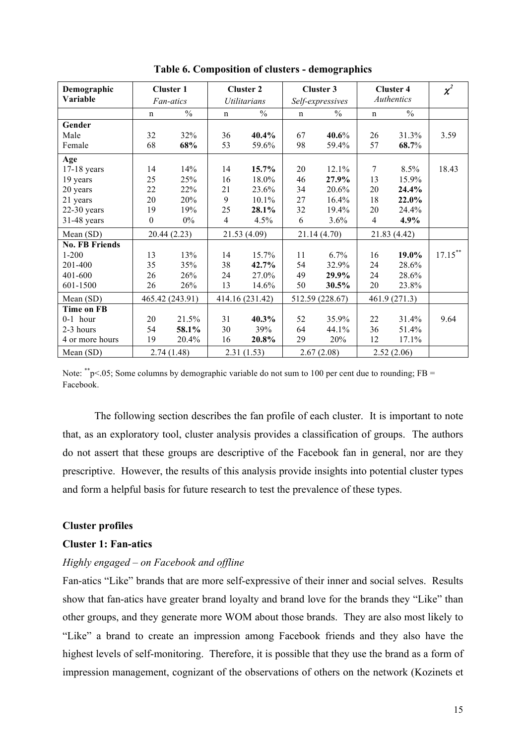| Demographic           | <b>Cluster 1</b> |                 |                | <b>Cluster 2</b>    |              | <b>Cluster 3</b> |                | <b>Cluster 4</b> | $\chi^2$   |
|-----------------------|------------------|-----------------|----------------|---------------------|--------------|------------------|----------------|------------------|------------|
| Variable              |                  | Fan-atics       |                | <i>Utilitarians</i> |              | Self-expressives |                | Authentics       |            |
|                       | n                | $\frac{0}{0}$   | n              | $\frac{0}{0}$       | n            | $\frac{0}{0}$    | n              | $\frac{0}{0}$    |            |
| Gender                |                  |                 |                |                     |              |                  |                |                  |            |
| Male                  | 32               | 32%             | 36             | 40.4%               | 67           | 40.6%            | 26             | 31.3%            | 3.59       |
| Female                | 68               | 68%             | 53             | 59.6%               | 98           | 59.4%            | 57             | 68.7%            |            |
| Age                   |                  |                 |                |                     |              |                  |                |                  |            |
| $17-18$ years         | 14               | 14%             | 14             | 15.7%               | 20           | 12.1%            | 7              | 8.5%             | 18.43      |
| 19 years              | 25               | 25%             | 16             | 18.0%               | 46           | 27.9%            | 13             | 15.9%            |            |
| 20 years              | 22               | 22%             | 21             | 23.6%               | 34           | 20.6%            | 20             | 24.4%            |            |
| 21 years              | 20               | 20%             | 9              | $10.1\%$            | 27           | 16.4%            | 18             | 22.0%            |            |
| $22-30$ years         | 19               | 19%             | 25             | 28.1%               | 32           | 19.4%            | 20             | 24.4%            |            |
| 31-48 years           | $\boldsymbol{0}$ | $0\%$           | $\overline{4}$ | 4.5%                | 6            | 3.6%             | $\overline{4}$ | $4.9\%$          |            |
| Mean (SD)             |                  | 20.44 (2.23)    |                | 21.53 (4.09)        | 21.14 (4.70) |                  | 21.83 (4.42)   |                  |            |
| <b>No. FB Friends</b> |                  |                 |                |                     |              |                  |                |                  |            |
| $1 - 200$             | 13               | 13%             | 14             | 15.7%               | 11           | 6.7%             | 16             | 19.0%            | $17.15***$ |
| 201-400               | 35               | 35%             | 38             | 42.7%               | 54           | 32.9%            | 24             | 28.6%            |            |
| 401-600               | 26               | 26%             | 24             | 27.0%               | 49           | 29.9%            | 24             | 28.6%            |            |
| 601-1500              | 26               | 26%             | 13             | 14.6%               | 50           | 30.5%            | 20             | 23.8%            |            |
| Mean (SD)             |                  | 465.42 (243.91) |                | 414.16 (231.42)     |              | 512.59 (228.67)  |                | 461.9 (271.3)    |            |
| <b>Time on FB</b>     |                  |                 |                |                     |              |                  |                |                  |            |
| $0-1$ hour            | 20               | 21.5%           | 31             | 40.3%               | 52           | 35.9%            | 22             | 31.4%            | 9.64       |
| 2-3 hours             | 54               | 58.1%           | 30             | 39%                 | 64           | 44.1%            | 36             | 51.4%            |            |
| 4 or more hours       | 19               | 20.4%           | 16             | 20.8%               | 29           | 20%              | 12             | 17.1%            |            |
| Mean (SD)             |                  | 2.74(1.48)      |                | 2.31(1.53)          |              | 2.67(2.08)       |                | 2.52(2.06)       |            |

**Table 6. Composition of clusters - demographics**

Note:  $*^*p<.05$ ; Some columns by demographic variable do not sum to 100 per cent due to rounding; FB = Facebook.

The following section describes the fan profile of each cluster. It is important to note that, as an exploratory tool, cluster analysis provides a classification of groups. The authors do not assert that these groups are descriptive of the Facebook fan in general, nor are they prescriptive. However, the results of this analysis provide insights into potential cluster types and form a helpful basis for future research to test the prevalence of these types.

## **Cluster profiles**

## **Cluster 1: Fan-atics**

## *Highly engaged – on Facebook and offline*

Fan-atics "Like" brands that are more self-expressive of their inner and social selves. Results show that fan-atics have greater brand loyalty and brand love for the brands they "Like" than other groups, and they generate more WOM about those brands. They are also most likely to "Like" a brand to create an impression among Facebook friends and they also have the highest levels of self-monitoring. Therefore, it is possible that they use the brand as a form of impression management, cognizant of the observations of others on the network (Kozinets et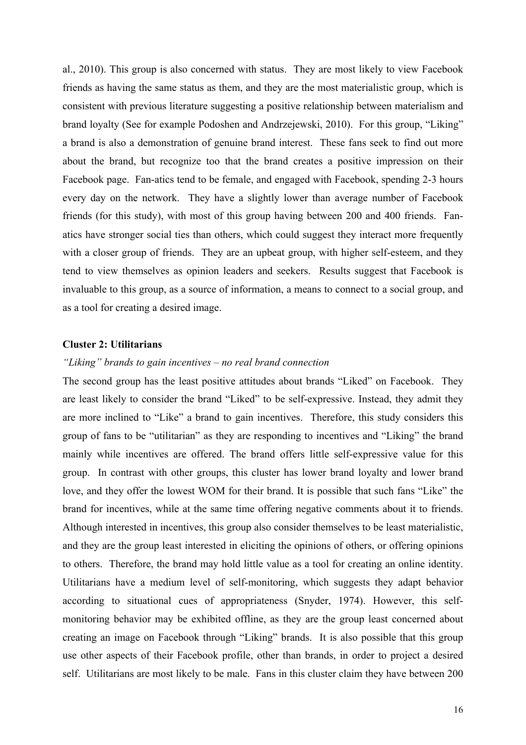al., 2010). This group is also concerned with status. They are most likely to view Facebook friends as having the same status as them, and they are the most materialistic group, which is consistent with previous literature suggesting a positive relationship between materialism and brand loyalty (See for example Podoshen and Andrzejewski, 2010). For this group, "Liking" a brand is also a demonstration of genuine brand interest. These fans seek to find out more about the brand, but recognize too that the brand creates a positive impression on their Facebook page. Fan-atics tend to be female, and engaged with Facebook, spending 2-3 hours every day on the network. They have a slightly lower than average number of Facebook friends (for this study), with most of this group having between 200 and 400 friends. Fanatics have stronger social ties than others, which could suggest they interact more frequently with a closer group of friends. They are an upbeat group, with higher self-esteem, and they tend to view themselves as opinion leaders and seekers. Results suggest that Facebook is invaluable to this group, as a source of information, a means to connect to a social group, and as a tool for creating a desired image.

## **Cluster 2: Utilitarians**

## *"Liking" brands to gain incentives – no real brand connection*

The second group has the least positive attitudes about brands "Liked" on Facebook. They are least likely to consider the brand "Liked" to be self-expressive. Instead, they admit they are more inclined to "Like" a brand to gain incentives. Therefore, this study considers this group of fans to be "utilitarian" as they are responding to incentives and "Liking" the brand mainly while incentives are offered. The brand offers little self-expressive value for this group. In contrast with other groups, this cluster has lower brand loyalty and lower brand love, and they offer the lowest WOM for their brand. It is possible that such fans "Like" the brand for incentives, while at the same time offering negative comments about it to friends. Although interested in incentives, this group also consider themselves to be least materialistic, and they are the group least interested in eliciting the opinions of others, or offering opinions to others. Therefore, the brand may hold little value as a tool for creating an online identity. Utilitarians have a medium level of self-monitoring, which suggests they adapt behavior according to situational cues of appropriateness (Snyder, 1974). However, this selfmonitoring behavior may be exhibited offline, as they are the group least concerned about creating an image on Facebook through "Liking" brands. It is also possible that this group use other aspects of their Facebook profile, other than brands, in order to project a desired self. Utilitarians are most likely to be male. Fans in this cluster claim they have between 200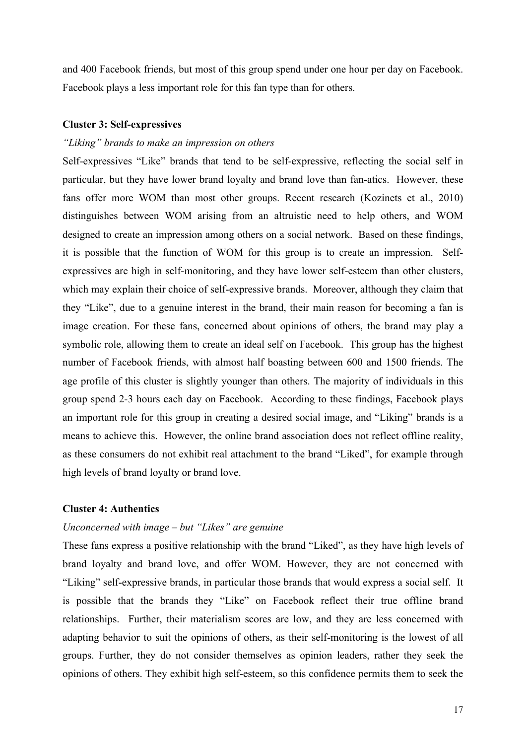and 400 Facebook friends, but most of this group spend under one hour per day on Facebook. Facebook plays a less important role for this fan type than for others.

## **Cluster 3: Self-expressives**

## *"Liking" brands to make an impression on others*

Self-expressives "Like" brands that tend to be self-expressive, reflecting the social self in particular, but they have lower brand loyalty and brand love than fan-atics. However, these fans offer more WOM than most other groups. Recent research (Kozinets et al., 2010) distinguishes between WOM arising from an altruistic need to help others, and WOM designed to create an impression among others on a social network. Based on these findings, it is possible that the function of WOM for this group is to create an impression. Selfexpressives are high in self-monitoring, and they have lower self-esteem than other clusters, which may explain their choice of self-expressive brands. Moreover, although they claim that they "Like", due to a genuine interest in the brand, their main reason for becoming a fan is image creation. For these fans, concerned about opinions of others, the brand may play a symbolic role, allowing them to create an ideal self on Facebook. This group has the highest number of Facebook friends, with almost half boasting between 600 and 1500 friends. The age profile of this cluster is slightly younger than others. The majority of individuals in this group spend 2-3 hours each day on Facebook. According to these findings, Facebook plays an important role for this group in creating a desired social image, and "Liking" brands is a means to achieve this. However, the online brand association does not reflect offline reality, as these consumers do not exhibit real attachment to the brand "Liked", for example through high levels of brand loyalty or brand love.

## **Cluster 4: Authentics**

## *Unconcerned with image – but "Likes" are genuine*

These fans express a positive relationship with the brand "Liked", as they have high levels of brand loyalty and brand love, and offer WOM. However, they are not concerned with "Liking" self-expressive brands, in particular those brands that would express a social self. It is possible that the brands they "Like" on Facebook reflect their true offline brand relationships. Further, their materialism scores are low, and they are less concerned with adapting behavior to suit the opinions of others, as their self-monitoring is the lowest of all groups. Further, they do not consider themselves as opinion leaders, rather they seek the opinions of others. They exhibit high self-esteem, so this confidence permits them to seek the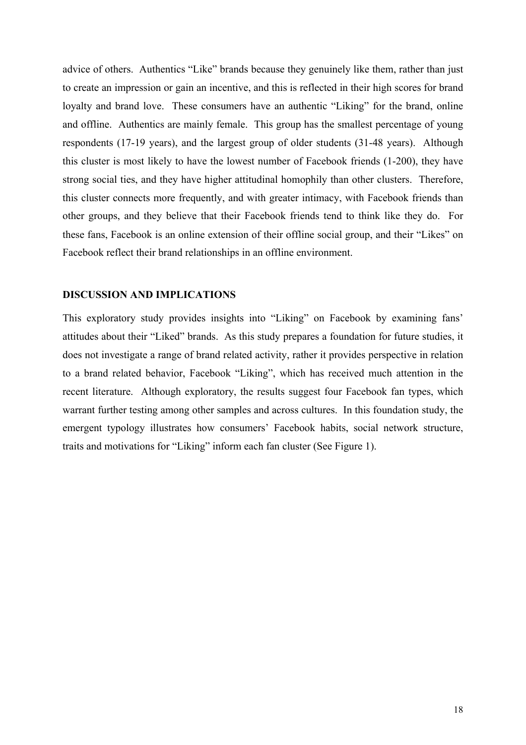advice of others. Authentics "Like" brands because they genuinely like them, rather than just to create an impression or gain an incentive, and this is reflected in their high scores for brand loyalty and brand love. These consumers have an authentic "Liking" for the brand, online and offline. Authentics are mainly female. This group has the smallest percentage of young respondents (17-19 years), and the largest group of older students (31-48 years). Although this cluster is most likely to have the lowest number of Facebook friends (1-200), they have strong social ties, and they have higher attitudinal homophily than other clusters. Therefore, this cluster connects more frequently, and with greater intimacy, with Facebook friends than other groups, and they believe that their Facebook friends tend to think like they do. For these fans, Facebook is an online extension of their offline social group, and their "Likes" on Facebook reflect their brand relationships in an offline environment.

#### **DISCUSSION AND IMPLICATIONS**

This exploratory study provides insights into "Liking" on Facebook by examining fans' attitudes about their "Liked" brands. As this study prepares a foundation for future studies, it does not investigate a range of brand related activity, rather it provides perspective in relation to a brand related behavior, Facebook "Liking", which has received much attention in the recent literature. Although exploratory, the results suggest four Facebook fan types, which warrant further testing among other samples and across cultures. In this foundation study, the emergent typology illustrates how consumers' Facebook habits, social network structure, traits and motivations for "Liking" inform each fan cluster (See Figure 1).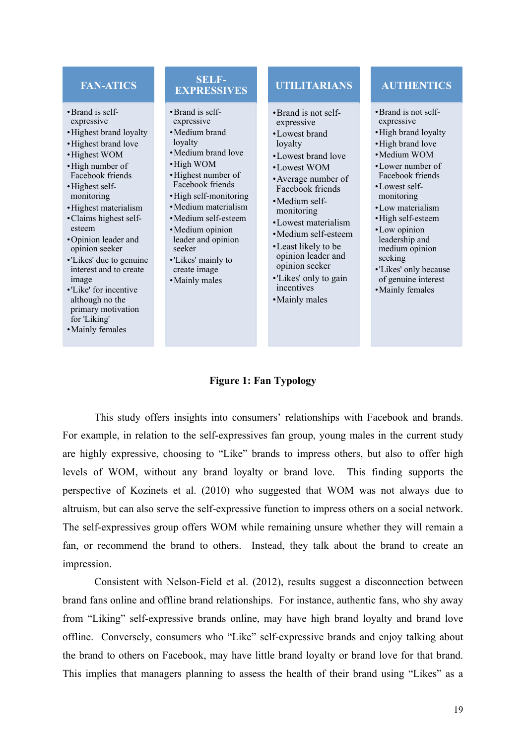## **FAN-ATICS**

- •Brand is selfexpressive
- •Highest brand loyalty
- •Highest brand love
- •Highest WOM
- •High number of Facebook friends
- •Highest selfmonitoring
- •Highest materialism
- •Claims highest selfesteem
- •Opinion leader and opinion seeker
- •'Likes' due to genuine interest and to create image
- •'Like' for incentive although no the primary motivation for 'Liking'
- •Mainly females

## **SELF-EXPRESSIVES**

- •Brand is selfexpressive
- •Medium brand loyalty
- •Medium brand love
- •High WOM •Highest number of
- Facebook friends
- •High self-monitoring •Medium materialism
- •Medium self-esteem
- •Medium opinion leader and opinion seeker
- •'Likes' mainly to create image
- •Mainly males

## **UTILITARIANS**

- •Brand is not selfexpressive
- •Lowest brand loyalty
- •Lowest brand love •Lowest WOM
- •Average number of Facebook friends
- •Medium selfmonitoring
- •Lowest materialism •Medium self-esteem
- •Least likely to be opinion leader and opinion seeker
- •'Likes' only to gain
- incentives •Mainly males

## **AUTHENTICS**

- •Brand is not selfexpressive
- •High brand loyalty
- •High brand love
- •Medium WOM
- •Lower number of Facebook friends
- •Lowest selfmonitoring
- •Low materialism
- •High self-esteem
- •Low opinion leadership and medium opinion seeking
- •'Likes' only because of genuine interest
- •Mainly females
- 

## **Figure 1: Fan Typology**

This study offers insights into consumers' relationships with Facebook and brands. For example, in relation to the self-expressives fan group, young males in the current study are highly expressive, choosing to "Like" brands to impress others, but also to offer high levels of WOM, without any brand loyalty or brand love. This finding supports the perspective of Kozinets et al. (2010) who suggested that WOM was not always due to altruism, but can also serve the self-expressive function to impress others on a social network. The self-expressives group offers WOM while remaining unsure whether they will remain a fan, or recommend the brand to others. Instead, they talk about the brand to create an impression.

Consistent with Nelson-Field et al. (2012), results suggest a disconnection between brand fans online and offline brand relationships. For instance, authentic fans, who shy away from "Liking" self-expressive brands online, may have high brand loyalty and brand love offline. Conversely, consumers who "Like" self-expressive brands and enjoy talking about the brand to others on Facebook, may have little brand loyalty or brand love for that brand. This implies that managers planning to assess the health of their brand using "Likes" as a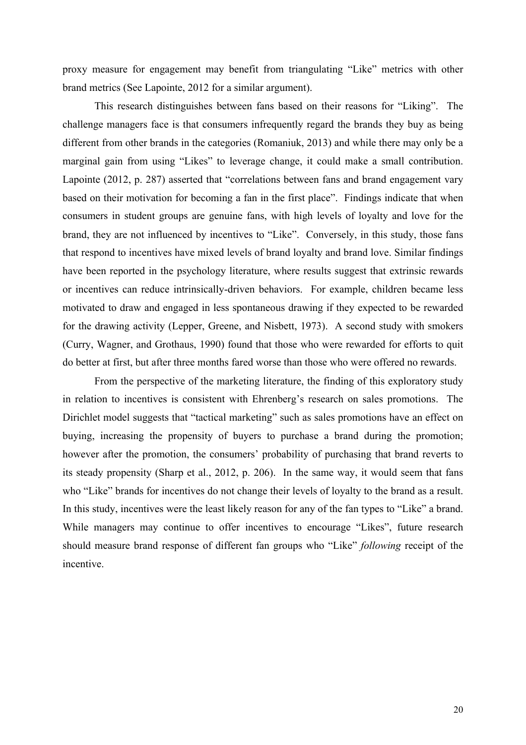proxy measure for engagement may benefit from triangulating "Like" metrics with other brand metrics (See Lapointe, 2012 for a similar argument).

This research distinguishes between fans based on their reasons for "Liking". The challenge managers face is that consumers infrequently regard the brands they buy as being different from other brands in the categories (Romaniuk, 2013) and while there may only be a marginal gain from using "Likes" to leverage change, it could make a small contribution. Lapointe (2012, p. 287) asserted that "correlations between fans and brand engagement vary based on their motivation for becoming a fan in the first place". Findings indicate that when consumers in student groups are genuine fans, with high levels of loyalty and love for the brand, they are not influenced by incentives to "Like". Conversely, in this study, those fans that respond to incentives have mixed levels of brand loyalty and brand love. Similar findings have been reported in the psychology literature, where results suggest that extrinsic rewards or incentives can reduce intrinsically-driven behaviors. For example, children became less motivated to draw and engaged in less spontaneous drawing if they expected to be rewarded for the drawing activity (Lepper, Greene, and Nisbett, 1973). A second study with smokers (Curry, Wagner, and Grothaus, 1990) found that those who were rewarded for efforts to quit do better at first, but after three months fared worse than those who were offered no rewards.

From the perspective of the marketing literature, the finding of this exploratory study in relation to incentives is consistent with Ehrenberg's research on sales promotions. The Dirichlet model suggests that "tactical marketing" such as sales promotions have an effect on buying, increasing the propensity of buyers to purchase a brand during the promotion; however after the promotion, the consumers' probability of purchasing that brand reverts to its steady propensity (Sharp et al., 2012, p. 206). In the same way, it would seem that fans who "Like" brands for incentives do not change their levels of loyalty to the brand as a result. In this study, incentives were the least likely reason for any of the fan types to "Like" a brand. While managers may continue to offer incentives to encourage "Likes", future research should measure brand response of different fan groups who "Like" *following* receipt of the incentive.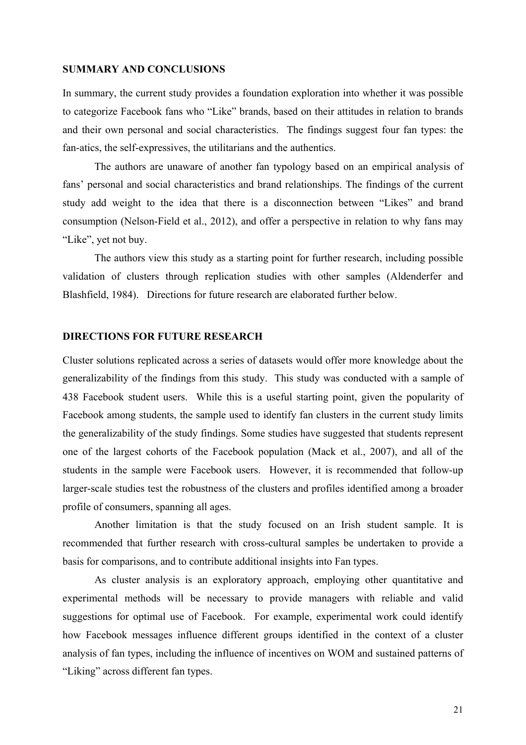#### **SUMMARY AND CONCLUSIONS**

In summary, the current study provides a foundation exploration into whether it was possible to categorize Facebook fans who "Like" brands, based on their attitudes in relation to brands and their own personal and social characteristics. The findings suggest four fan types: the fan-atics, the self-expressives, the utilitarians and the authentics.

The authors are unaware of another fan typology based on an empirical analysis of fans' personal and social characteristics and brand relationships. The findings of the current study add weight to the idea that there is a disconnection between "Likes" and brand consumption (Nelson-Field et al., 2012), and offer a perspective in relation to why fans may "Like", yet not buy.

The authors view this study as a starting point for further research, including possible validation of clusters through replication studies with other samples (Aldenderfer and Blashfield, 1984). Directions for future research are elaborated further below.

## **DIRECTIONS FOR FUTURE RESEARCH**

Cluster solutions replicated across a series of datasets would offer more knowledge about the generalizability of the findings from this study. This study was conducted with a sample of 438 Facebook student users. While this is a useful starting point, given the popularity of Facebook among students, the sample used to identify fan clusters in the current study limits the generalizability of the study findings. Some studies have suggested that students represent one of the largest cohorts of the Facebook population (Mack et al., 2007), and all of the students in the sample were Facebook users. However, it is recommended that follow-up larger-scale studies test the robustness of the clusters and profiles identified among a broader profile of consumers, spanning all ages.

Another limitation is that the study focused on an Irish student sample. It is recommended that further research with cross-cultural samples be undertaken to provide a basis for comparisons, and to contribute additional insights into Fan types.

As cluster analysis is an exploratory approach, employing other quantitative and experimental methods will be necessary to provide managers with reliable and valid suggestions for optimal use of Facebook. For example, experimental work could identify how Facebook messages influence different groups identified in the context of a cluster analysis of fan types, including the influence of incentives on WOM and sustained patterns of "Liking" across different fan types.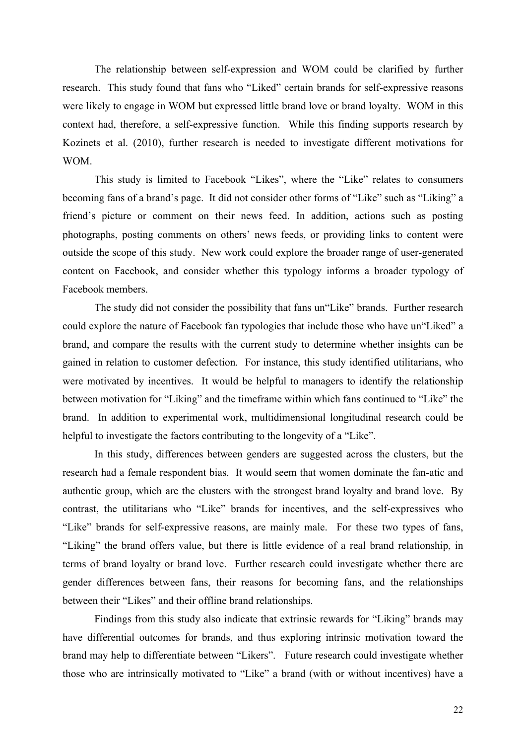The relationship between self-expression and WOM could be clarified by further research. This study found that fans who "Liked" certain brands for self-expressive reasons were likely to engage in WOM but expressed little brand love or brand loyalty. WOM in this context had, therefore, a self-expressive function. While this finding supports research by Kozinets et al. (2010), further research is needed to investigate different motivations for WOM.

This study is limited to Facebook "Likes", where the "Like" relates to consumers becoming fans of a brand's page. It did not consider other forms of "Like" such as "Liking" a friend's picture or comment on their news feed. In addition, actions such as posting photographs, posting comments on others' news feeds, or providing links to content were outside the scope of this study. New work could explore the broader range of user-generated content on Facebook, and consider whether this typology informs a broader typology of Facebook members.

The study did not consider the possibility that fans un"Like" brands. Further research could explore the nature of Facebook fan typologies that include those who have un"Liked" a brand, and compare the results with the current study to determine whether insights can be gained in relation to customer defection. For instance, this study identified utilitarians, who were motivated by incentives. It would be helpful to managers to identify the relationship between motivation for "Liking" and the timeframe within which fans continued to "Like" the brand. In addition to experimental work, multidimensional longitudinal research could be helpful to investigate the factors contributing to the longevity of a "Like".

In this study, differences between genders are suggested across the clusters, but the research had a female respondent bias. It would seem that women dominate the fan-atic and authentic group, which are the clusters with the strongest brand loyalty and brand love. By contrast, the utilitarians who "Like" brands for incentives, and the self-expressives who "Like" brands for self-expressive reasons, are mainly male. For these two types of fans, "Liking" the brand offers value, but there is little evidence of a real brand relationship, in terms of brand loyalty or brand love. Further research could investigate whether there are gender differences between fans, their reasons for becoming fans, and the relationships between their "Likes" and their offline brand relationships.

Findings from this study also indicate that extrinsic rewards for "Liking" brands may have differential outcomes for brands, and thus exploring intrinsic motivation toward the brand may help to differentiate between "Likers". Future research could investigate whether those who are intrinsically motivated to "Like" a brand (with or without incentives) have a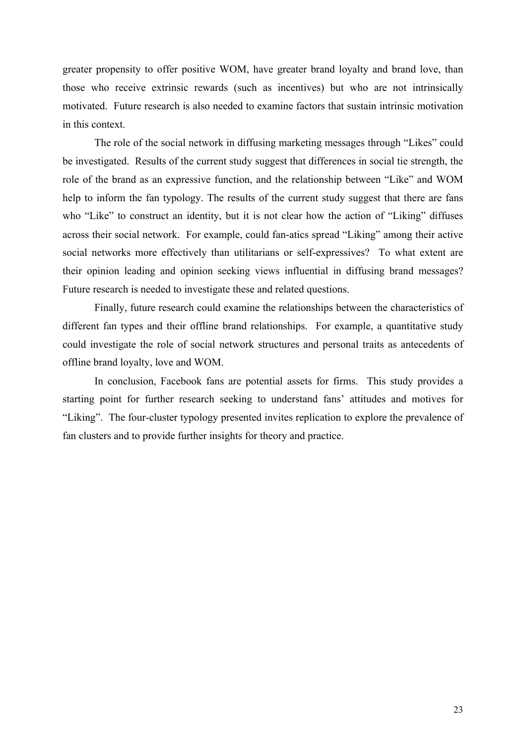greater propensity to offer positive WOM, have greater brand loyalty and brand love, than those who receive extrinsic rewards (such as incentives) but who are not intrinsically motivated. Future research is also needed to examine factors that sustain intrinsic motivation in this context.

The role of the social network in diffusing marketing messages through "Likes" could be investigated. Results of the current study suggest that differences in social tie strength, the role of the brand as an expressive function, and the relationship between "Like" and WOM help to inform the fan typology. The results of the current study suggest that there are fans who "Like" to construct an identity, but it is not clear how the action of "Liking" diffuses across their social network. For example, could fan-atics spread "Liking" among their active social networks more effectively than utilitarians or self-expressives? To what extent are their opinion leading and opinion seeking views influential in diffusing brand messages? Future research is needed to investigate these and related questions.

Finally, future research could examine the relationships between the characteristics of different fan types and their offline brand relationships. For example, a quantitative study could investigate the role of social network structures and personal traits as antecedents of offline brand loyalty, love and WOM.

In conclusion, Facebook fans are potential assets for firms. This study provides a starting point for further research seeking to understand fans' attitudes and motives for "Liking". The four-cluster typology presented invites replication to explore the prevalence of fan clusters and to provide further insights for theory and practice.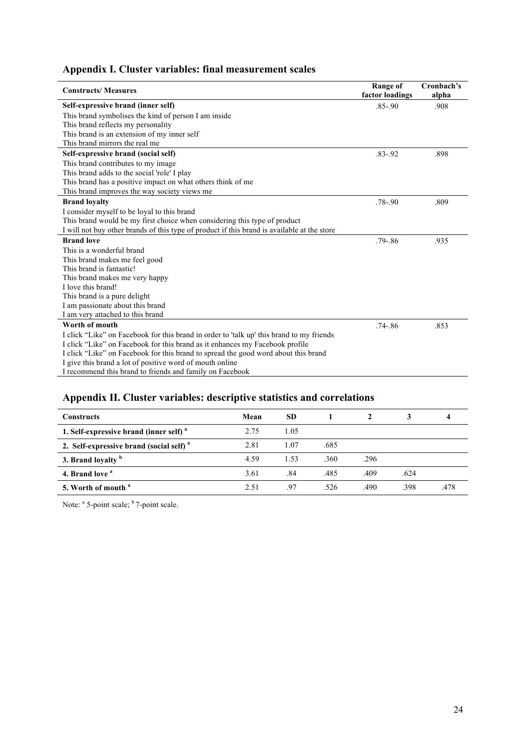## **Appendix I. Cluster variables: final measurement scales**

| <b>Constructs/Measures</b>                                                                  | <b>Range of</b><br>factor loadings | Cronbach's<br>alpha |
|---------------------------------------------------------------------------------------------|------------------------------------|---------------------|
| Self-expressive brand (inner self)                                                          | $.85 - .90$                        | .908                |
| This brand symbolises the kind of person I am inside                                        |                                    |                     |
| This brand reflects my personality                                                          |                                    |                     |
| This brand is an extension of my inner self                                                 |                                    |                     |
| This brand mirrors the real me                                                              |                                    |                     |
| Self-expressive brand (social self)                                                         | $.83 - .92$                        | .898                |
| This brand contributes to my image                                                          |                                    |                     |
| This brand adds to the social 'role' I play                                                 |                                    |                     |
| This brand has a positive impact on what others think of me                                 |                                    |                     |
| This brand improves the way society views me                                                |                                    |                     |
| <b>Brand loyalty</b>                                                                        | $.78 - .90$                        | .809                |
| I consider myself to be loyal to this brand                                                 |                                    |                     |
| This brand would be my first choice when considering this type of product                   |                                    |                     |
| I will not buy other brands of this type of product if this brand is available at the store |                                    |                     |
| <b>Brand love</b>                                                                           | $.79 - .86$                        | .935                |
| This is a wonderful brand                                                                   |                                    |                     |
| This brand makes me feel good                                                               |                                    |                     |
| This brand is fantastic!                                                                    |                                    |                     |
| This brand makes me very happy                                                              |                                    |                     |
| I love this brand!                                                                          |                                    |                     |
| This brand is a pure delight                                                                |                                    |                     |
| I am passionate about this brand                                                            |                                    |                     |
| I am very attached to this brand                                                            |                                    |                     |
| Worth of mouth                                                                              | $.74 - .86$                        | .853                |
| I click "Like" on Facebook for this brand in order to 'talk up' this brand to my friends    |                                    |                     |
| I click "Like" on Facebook for this brand as it enhances my Facebook profile                |                                    |                     |
| I click "Like" on Facebook for this brand to spread the good word about this brand          |                                    |                     |
| I give this brand a lot of positive word of mouth online                                    |                                    |                     |
| I recommend this brand to friends and family on Facebook                                    |                                    |                     |

## **Appendix II. Cluster variables: descriptive statistics and correlations**

| <b>Constructs</b>                                   | Mean | <b>SD</b> |      |      |      |      |
|-----------------------------------------------------|------|-----------|------|------|------|------|
| 1. Self-expressive brand (inner self) <sup>a</sup>  | 2.75 | 1.05      |      |      |      |      |
| 2. Self-expressive brand (social self) <sup>a</sup> | 2.81 | 1.07      | .685 |      |      |      |
| 3. Brand loyalty b                                  | 4.59 | 1.53      | .360 | .296 |      |      |
| 4. Brand love <sup>a</sup>                          | 3.61 | .84       | .485 | .409 | .624 |      |
| 5. Worth of mouth <sup>a</sup>                      | 2.51 | 97        | .526 | .490 | .398 | .478 |

Note: <sup>a</sup> 5-point scale; <sup>b</sup> 7-point scale.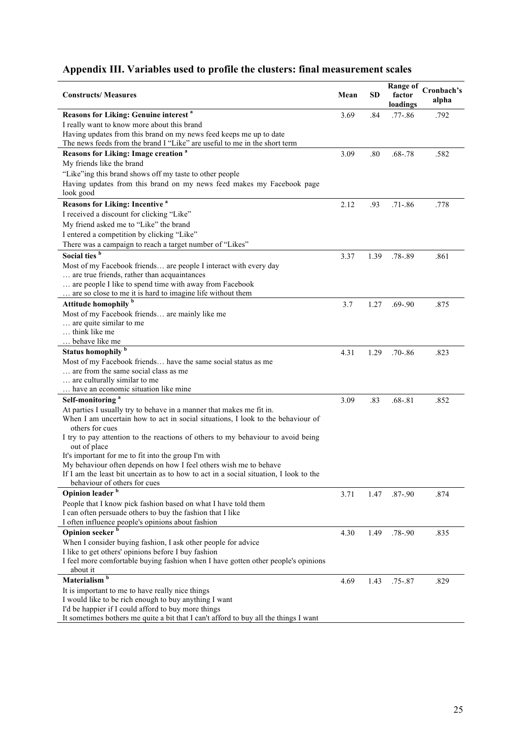# **Appendix III. Variables used to profile the clusters: final measurement scales**

| <b>Constructs/Measures</b>                                                            | Mean | <b>SD</b> | <b>Range of</b><br>factor<br>loadings | Cronbach's<br>alpha |
|---------------------------------------------------------------------------------------|------|-----------|---------------------------------------|---------------------|
| Reasons for Liking: Genuine interest <sup>a</sup>                                     | 3.69 | .84       | $.77 - .86$                           | .792                |
| I really want to know more about this brand                                           |      |           |                                       |                     |
| Having updates from this brand on my news feed keeps me up to date                    |      |           |                                       |                     |
| The news feeds from the brand I "Like" are useful to me in the short term             |      |           |                                       |                     |
| Reasons for Liking: Image creation <sup>a</sup>                                       | 3.09 | .80       | $.68 - .78$                           | .582                |
| My friends like the brand                                                             |      |           |                                       |                     |
| "Like"ing this brand shows off my taste to other people                               |      |           |                                       |                     |
| Having updates from this brand on my news feed makes my Facebook page                 |      |           |                                       |                     |
| look good                                                                             |      |           |                                       |                     |
| <b>Reasons for Liking: Incentive a</b>                                                | 2.12 | .93       | $.71 - .86$                           | .778                |
| I received a discount for clicking "Like"                                             |      |           |                                       |                     |
| My friend asked me to "Like" the brand                                                |      |           |                                       |                     |
| I entered a competition by clicking "Like"                                            |      |           |                                       |                     |
| There was a campaign to reach a target number of "Likes"                              |      |           |                                       |                     |
| Social ties <sup>b</sup>                                                              | 3.37 | 1.39      | .78-.89                               | .861                |
| Most of my Facebook friends are people I interact with every day                      |      |           |                                       |                     |
| are true friends, rather than acquaintances                                           |      |           |                                       |                     |
| are people I like to spend time with away from Facebook                               |      |           |                                       |                     |
| are so close to me it is hard to imagine life without them                            |      |           |                                       |                     |
| Attitude homophily <sup>b</sup>                                                       | 3.7  | 1.27      | .69-.90                               | .875                |
| Most of my Facebook friends are mainly like me<br>are quite similar to me             |      |           |                                       |                     |
| think like me                                                                         |      |           |                                       |                     |
| behave like me                                                                        |      |           |                                       |                     |
| Status homophily <sup>b</sup>                                                         | 4.31 | 1.29      | $.70 - .86$                           | .823                |
| Most of my Facebook friends have the same social status as me                         |      |           |                                       |                     |
| are from the same social class as me                                                  |      |           |                                       |                     |
| are culturally similar to me                                                          |      |           |                                       |                     |
| have an economic situation like mine                                                  |      |           |                                       |                     |
| Self-monitoring <sup>a</sup>                                                          | 3.09 | .83       | $.68 - .81$                           | .852                |
| At parties I usually try to behave in a manner that makes me fit in.                  |      |           |                                       |                     |
| When I am uncertain how to act in social situations, I look to the behaviour of       |      |           |                                       |                     |
| others for cues                                                                       |      |           |                                       |                     |
| I try to pay attention to the reactions of others to my behaviour to avoid being      |      |           |                                       |                     |
| out of place<br>It's important for me to fit into the group I'm with                  |      |           |                                       |                     |
| My behaviour often depends on how I feel others wish me to behave                     |      |           |                                       |                     |
| If I am the least bit uncertain as to how to act in a social situation. I look to the |      |           |                                       |                     |
| behaviour of others for cues                                                          |      |           |                                       |                     |
| Opinion leader                                                                        | 3.71 | 1.47      | $.87 - .90$                           | .874                |
| People that I know pick fashion based on what I have told them                        |      |           |                                       |                     |
| I can often persuade others to buy the fashion that I like                            |      |           |                                       |                     |
| I often influence people's opinions about fashion                                     |      |           |                                       |                     |
| Opinion seeker <sup>b</sup>                                                           | 4.30 | 1.49      | $.78 - .90$                           | .835                |
| When I consider buying fashion, I ask other people for advice                         |      |           |                                       |                     |
| I like to get others' opinions before I buy fashion                                   |      |           |                                       |                     |
| I feel more comfortable buying fashion when I have gotten other people's opinions     |      |           |                                       |                     |
| about it<br>Materialism <sup>b</sup>                                                  |      |           |                                       |                     |
| It is important to me to have really nice things                                      | 4.69 | 1.43      | $.75 - .87$                           | .829                |
| I would like to be rich enough to buy anything I want                                 |      |           |                                       |                     |
| I'd be happier if I could afford to buy more things                                   |      |           |                                       |                     |
| It sometimes bothers me quite a bit that I can't afford to buy all the things I want  |      |           |                                       |                     |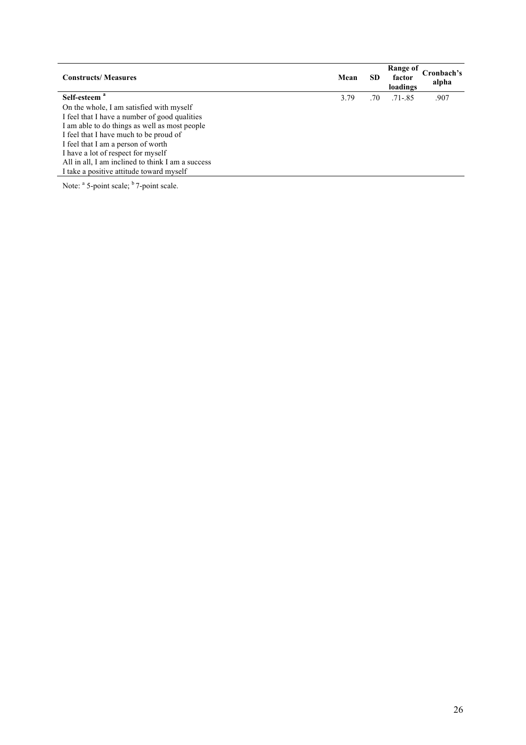| <b>Constructs/Measures</b>                        | Mean | <b>SD</b> | Range of<br>factor<br>loadings | cronbach's<br>alpha |
|---------------------------------------------------|------|-----------|--------------------------------|---------------------|
| Self-esteem <sup>a</sup>                          | 3.79 | .70       | $.71 - .85$                    | .907                |
| On the whole, I am satisfied with myself          |      |           |                                |                     |
| I feel that I have a number of good qualities     |      |           |                                |                     |
| I am able to do things as well as most people     |      |           |                                |                     |
| I feel that I have much to be proud of            |      |           |                                |                     |
| I feel that I am a person of worth                |      |           |                                |                     |
| I have a lot of respect for myself                |      |           |                                |                     |
| All in all, I am inclined to think I am a success |      |           |                                |                     |
| I take a positive attitude toward myself          |      |           |                                |                     |
|                                                   |      |           |                                |                     |

Note: <sup>a</sup> 5-point scale; <sup>b</sup> 7-point scale.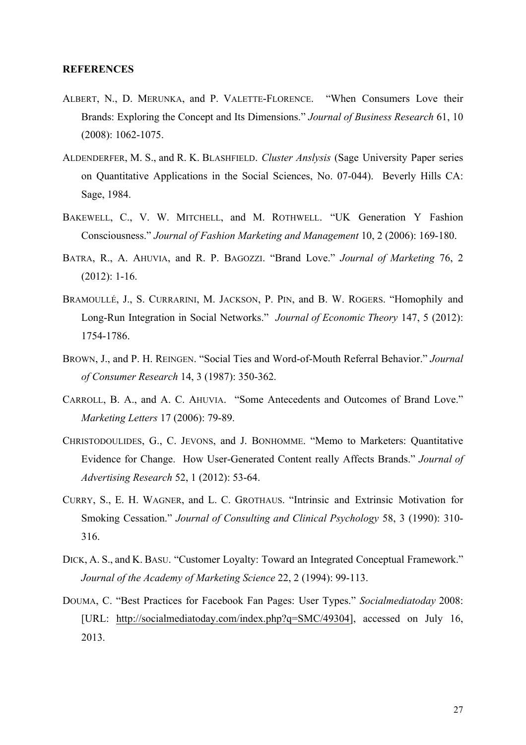## **REFERENCES**

- ALBERT, N., D. MERUNKA, and P. VALETTE-FLORENCE. "When Consumers Love their Brands: Exploring the Concept and Its Dimensions." *Journal of Business Research* 61, 10 (2008): 1062-1075.
- ALDENDERFER, M. S., and R. K. BLASHFIELD. *Cluster Anslysis* (Sage University Paper series on Quantitative Applications in the Social Sciences, No. 07-044). Beverly Hills CA: Sage, 1984.
- BAKEWELL, C., V. W. MITCHELL, and M. ROTHWELL. "UK Generation Y Fashion Consciousness." *Journal of Fashion Marketing and Management* 10, 2 (2006): 169-180.
- BATRA, R., A. AHUVIA, and R. P. BAGOZZI. "Brand Love." *Journal of Marketing* 76, 2 (2012): 1-16.
- BRAMOULLÉ, J., S. CURRARINI, M. JACKSON, P. PIN, and B. W. ROGERS. "Homophily and Long-Run Integration in Social Networks." *Journal of Economic Theory* 147, 5 (2012): 1754-1786.
- BROWN, J., and P. H. REINGEN. "Social Ties and Word-of-Mouth Referral Behavior." *Journal of Consumer Research* 14, 3 (1987): 350-362.
- CARROLL, B. A., and A. C. AHUVIA. "Some Antecedents and Outcomes of Brand Love." *Marketing Letters* 17 (2006): 79-89.
- CHRISTODOULIDES, G., C. JEVONS, and J. BONHOMME. "Memo to Marketers: Quantitative Evidence for Change. How User-Generated Content really Affects Brands." *Journal of Advertising Research* 52, 1 (2012): 53-64.
- CURRY, S., E. H. WAGNER, and L. C. GROTHAUS. "Intrinsic and Extrinsic Motivation for Smoking Cessation." *Journal of Consulting and Clinical Psychology* 58, 3 (1990): 310- 316.
- DICK, A. S., and K. BASU. "Customer Loyalty: Toward an Integrated Conceptual Framework." *Journal of the Academy of Marketing Science* 22, 2 (1994): 99-113.
- DOUMA, C. "Best Practices for Facebook Fan Pages: User Types." *Socialmediatoday* 2008: [URL: http://socialmediatoday.com/index.php?q=SMC/49304], accessed on July 16, 2013.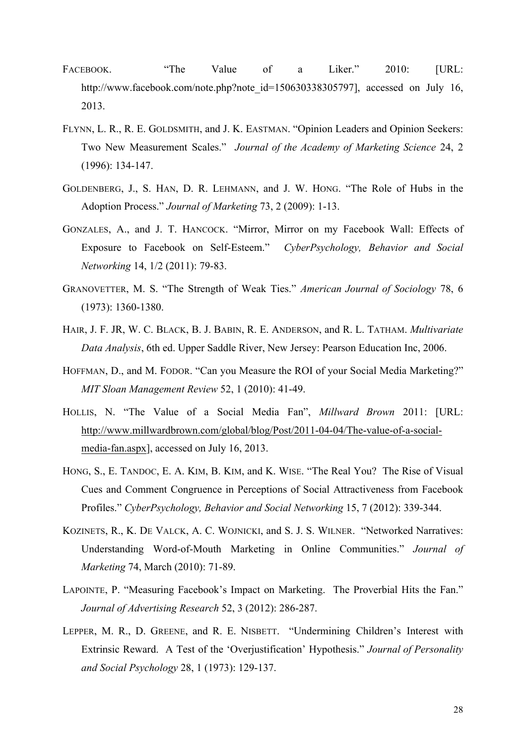- FACEBOOK. "The Value of a Liker." 2010: [URL: http://www.facebook.com/note.php?note\_id=150630338305797], accessed on July 16, 2013.
- FLYNN, L. R., R. E. GOLDSMITH, and J. K. EASTMAN. "Opinion Leaders and Opinion Seekers: Two New Measurement Scales." *Journal of the Academy of Marketing Science* 24, 2 (1996): 134-147.
- GOLDENBERG, J., S. HAN, D. R. LEHMANN, and J. W. HONG. "The Role of Hubs in the Adoption Process." *Journal of Marketing* 73, 2 (2009): 1-13.
- GONZALES, A., and J. T. HANCOCK. "Mirror, Mirror on my Facebook Wall: Effects of Exposure to Facebook on Self-Esteem." *CyberPsychology, Behavior and Social Networking* 14, 1/2 (2011): 79-83.
- GRANOVETTER, M. S. "The Strength of Weak Ties." *American Journal of Sociology* 78, 6 (1973): 1360-1380.
- HAIR, J. F. JR, W. C. BLACK, B. J. BABIN, R. E. ANDERSON, and R. L. TATHAM. *Multivariate Data Analysis*, 6th ed. Upper Saddle River, New Jersey: Pearson Education Inc, 2006.
- HOFFMAN, D., and M. FODOR. "Can you Measure the ROI of your Social Media Marketing?" *MIT Sloan Management Review* 52, 1 (2010): 41-49.
- HOLLIS, N. "The Value of a Social Media Fan", *Millward Brown* 2011: [URL: http://www.millwardbrown.com/global/blog/Post/2011-04-04/The-value-of-a-socialmedia-fan.aspx], accessed on July 16, 2013.
- HONG, S., E. TANDOC, E. A. KIM, B. KIM, and K. WISE. "The Real You? The Rise of Visual Cues and Comment Congruence in Perceptions of Social Attractiveness from Facebook Profiles." *CyberPsychology, Behavior and Social Networking* 15, 7 (2012): 339-344.
- KOZINETS, R., K. DE VALCK, A. C. WOJNICKI, and S. J. S. WILNER. "Networked Narratives: Understanding Word-of-Mouth Marketing in Online Communities." *Journal of Marketing* 74, March (2010): 71-89.
- LAPOINTE, P. "Measuring Facebook's Impact on Marketing. The Proverbial Hits the Fan." *Journal of Advertising Research* 52, 3 (2012): 286-287.
- LEPPER, M. R., D. GREENE, and R. E. NISBETT. "Undermining Children's Interest with Extrinsic Reward. A Test of the 'Overjustification' Hypothesis." *Journal of Personality and Social Psychology* 28, 1 (1973): 129-137.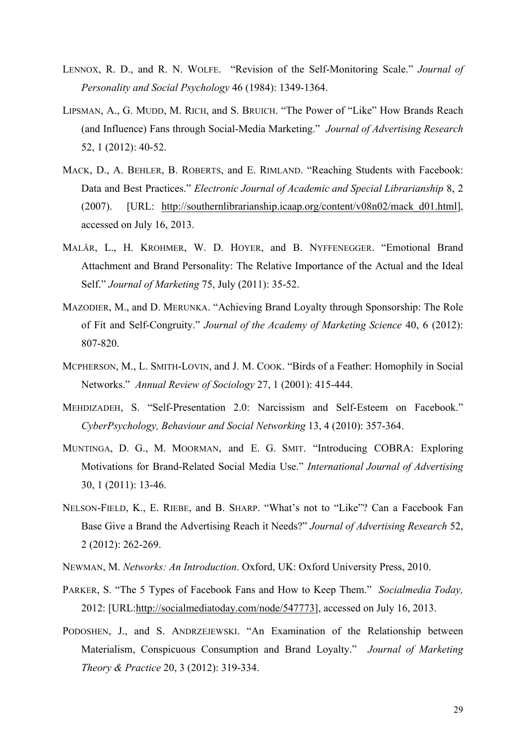- LENNOX, R. D., and R. N. WOLFE. "Revision of the Self-Monitoring Scale." *Journal of Personality and Social Psychology* 46 (1984): 1349-1364.
- LIPSMAN, A., G. MUDD, M. RICH, and S. BRUICH. "The Power of "Like" How Brands Reach (and Influence) Fans through Social-Media Marketing." *Journal of Advertising Research* 52, 1 (2012): 40-52.
- MACK, D., A. BEHLER, B. ROBERTS, and E. RIMLAND. "Reaching Students with Facebook: Data and Best Practices." *Electronic Journal of Academic and Special Librarianship* 8, 2 (2007). [URL: http://southernlibrarianship.icaap.org/content/v08n02/mack\_d01.html], accessed on July 16, 2013.
- MALÄR, L., H. KROHMER, W. D. HOYER, and B. NYFFENEGGER. "Emotional Brand Attachment and Brand Personality: The Relative Importance of the Actual and the Ideal Self." *Journal of Marketing* 75, July (2011): 35-52.
- MAZODIER, M., and D. MERUNKA. "Achieving Brand Loyalty through Sponsorship: The Role of Fit and Self-Congruity." *Journal of the Academy of Marketing Science* 40, 6 (2012): 807-820.
- MCPHERSON, M., L. SMITH-LOVIN, and J. M. COOK. "Birds of a Feather: Homophily in Social Networks." *Annual Review of Sociology* 27, 1 (2001): 415-444.
- MEHDIZADEH, S. "Self-Presentation 2.0: Narcissism and Self-Esteem on Facebook." *CyberPsychology, Behaviour and Social Networking* 13, 4 (2010): 357-364.
- MUNTINGA, D. G., M. MOORMAN, and E. G. SMIT. "Introducing COBRA: Exploring Motivations for Brand-Related Social Media Use." *International Journal of Advertising*  30, 1 (2011): 13-46.
- NELSON-FIELD, K., E. RIEBE, and B. SHARP. "What's not to "Like"? Can a Facebook Fan Base Give a Brand the Advertising Reach it Needs?" *Journal of Advertising Research* 52, 2 (2012): 262-269.
- NEWMAN, M. *Networks: An Introduction*. Oxford, UK: Oxford University Press, 2010.
- PARKER, S. "The 5 Types of Facebook Fans and How to Keep Them." *Socialmedia Today,* 2012: [URL:http://socialmediatoday.com/node/547773], accessed on July 16, 2013.
- PODOSHEN, J., and S. ANDRZEJEWSKI. "An Examination of the Relationship between Materialism, Conspicuous Consumption and Brand Loyalty." *Journal of Marketing Theory & Practice* 20, 3 (2012): 319-334.